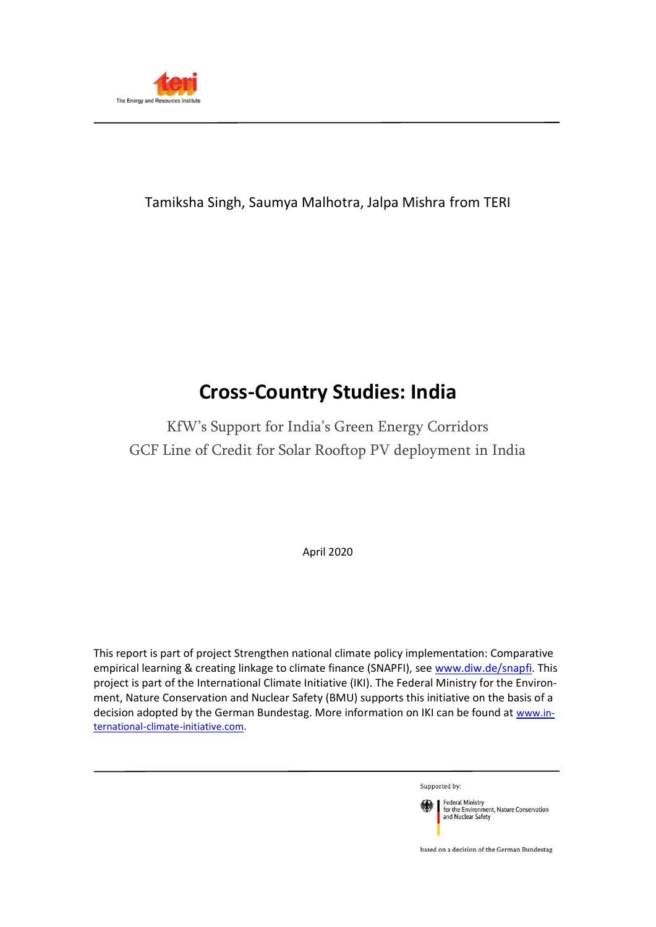

## Tamiksha Singh, Saumya Malhotra, Jalpa Mishra from TERI

# **Cross-Country Studies: India**

KfW's Support for India's Green Energy Corridors GCF Line of Credit for Solar Rooftop PV deployment in India

April 2020

This report is part of project Strengthen national climate policy implementation: Comparative empirical learning & creating linkage to climate finance (SNAPFI), see [www.diw.de/snapfi.](http://www.diw.de/snapfi) This project is part of the International Climate Initiative (IKI). The Federal Ministry for the Environment, Nature Conservation and Nuclear Safety (BMU) supports this initiative on the basis of a decision adopted by the German Bundestag. More information on IKI can be found at [www.in](http://www.international-climate-initiative.com/)[ternational-climate-initiative.com.](http://www.international-climate-initiative.com/)

Supported by:



based on a decision of the German Bundestag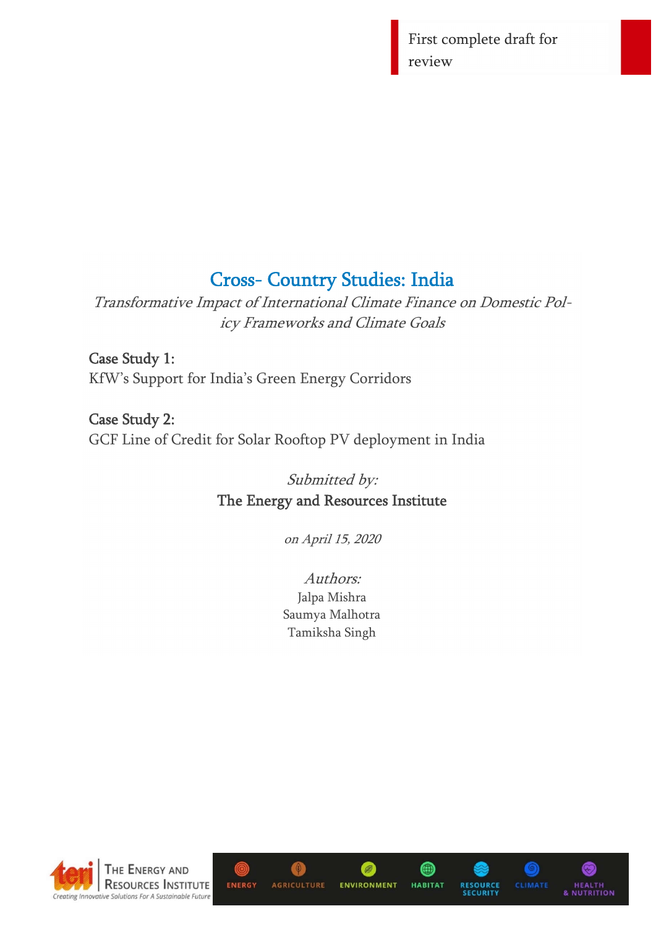First complete draft for review

# Cross- Country Studies: India

Transformative Impact of International Climate Finance on Domestic Policy Frameworks and Climate Goals

Case Study 1: KfW's Support for India's Green Energy Corridors

Case Study 2: GCF Line of Credit for Solar Rooftop PV deployment in India

> Submitted by: The Energy and Resources Institute

> > on April 15, 2020

Authors: Jalpa Mishra Saumya Malhotra Tamiksha Singh



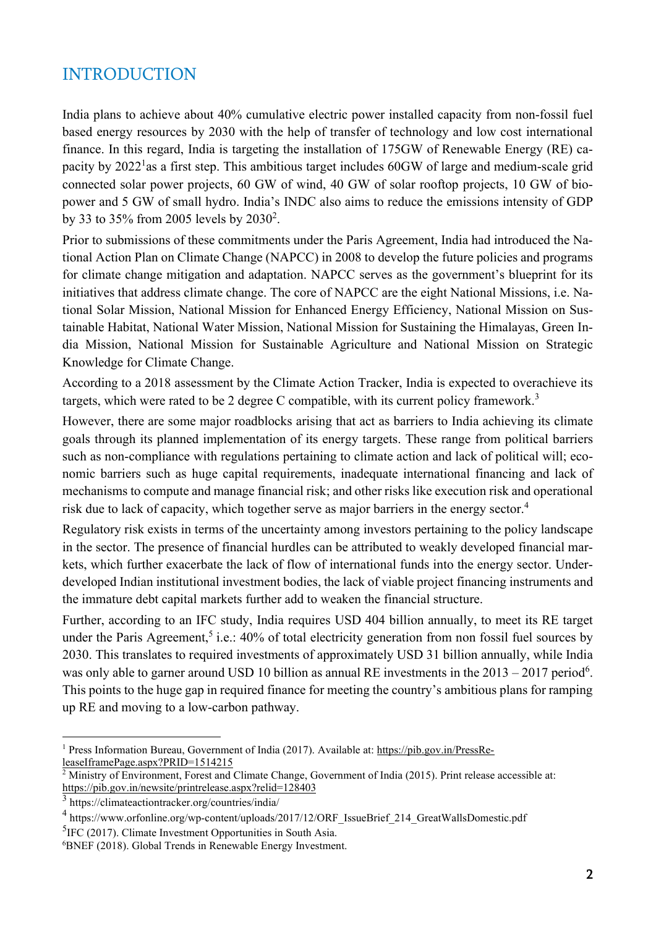## INTRODUCTION

India plans to achieve about 40% cumulative electric power installed capacity from non-fossil fuel based energy resources by 2030 with the help of transfer of technology and low cost international finance. In this regard, India is targeting the installation of 175GW of Renewable Energy (RE) capacity by 2022<sup>1</sup>as a first step. This ambitious target includes 60GW of large and medium-scale grid connected solar power projects, 60 GW of wind, 40 GW of solar rooftop projects, 10 GW of biopower and 5 GW of small hydro. India's INDC also aims to reduce the emissions intensity of GDP by 33 to 35% from 2005 levels by 2030<sup>2</sup>.

Prior to submissions of these commitments under the Paris Agreement, India had introduced the National Action Plan on Climate Change (NAPCC) in 2008 to develop the future policies and programs for climate change mitigation and adaptation. NAPCC serves as the government's blueprint for its initiatives that address climate change. The core of NAPCC are the eight National Missions, i.e. National Solar Mission, National Mission for Enhanced Energy Efficiency, National Mission on Sustainable Habitat, National Water Mission, National Mission for Sustaining the Himalayas, Green India Mission, National Mission for Sustainable Agriculture and National Mission on Strategic Knowledge for Climate Change.

According to a 2018 assessment by the Climate Action Tracker, India is expected to overachieve its targets, which were rated to be 2 degree C compatible, with its current policy framework.<sup>3</sup>

However, there are some major roadblocks arising that act as barriers to India achieving its climate goals through its planned implementation of its energy targets. These range from political barriers such as non-compliance with regulations pertaining to climate action and lack of political will; economic barriers such as huge capital requirements, inadequate international financing and lack of mechanisms to compute and manage financial risk; and other risks like execution risk and operational risk due to lack of capacity, which together serve as major barriers in the energy sector.<sup>4</sup>

Regulatory risk exists in terms of the uncertainty among investors pertaining to the policy landscape in the sector. The presence of financial hurdles can be attributed to weakly developed financial markets, which further exacerbate the lack of flow of international funds into the energy sector. Underdeveloped Indian institutional investment bodies, the lack of viable project financing instruments and the immature debt capital markets further add to weaken the financial structure.

Further, according to an IFC study, India requires USD 404 billion annually, to meet its RE target under the Paris Agreement,<sup>5</sup> i.e.: 40% of total electricity generation from non fossil fuel sources by 2030. This translates to required investments of approximately USD 31 billion annually, while India was only able to garner around USD 10 billion as annual RE investments in the  $2013 - 2017$  period<sup>6</sup>. This points to the huge gap in required finance for meeting the country's ambitious plans for ramping up RE and moving to a low-carbon pathway.

<sup>1</sup> Press Information Bureau, Government of India (2017). Available at: https://pib.gov.in/PressReleaseIframePage.aspx?PRID=1514215

 $\frac{2}{2}$  Ministry of Environment, Forest and Climate Change, Government of India (2015). Print release accessible at: https://pib.gov.in/newsite/printrelease.aspx?relid=128403

<sup>3</sup> https://climateactiontracker.org/countries/india/

<sup>4</sup> https://www.orfonline.org/wp-content/uploads/2017/12/ORF\_IssueBrief\_214\_GreatWallsDomestic.pdf

<sup>&</sup>lt;sup>5</sup>IFC (2017). Climate Investment Opportunities in South Asia.

<sup>6</sup> BNEF (2018). Global Trends in Renewable Energy Investment.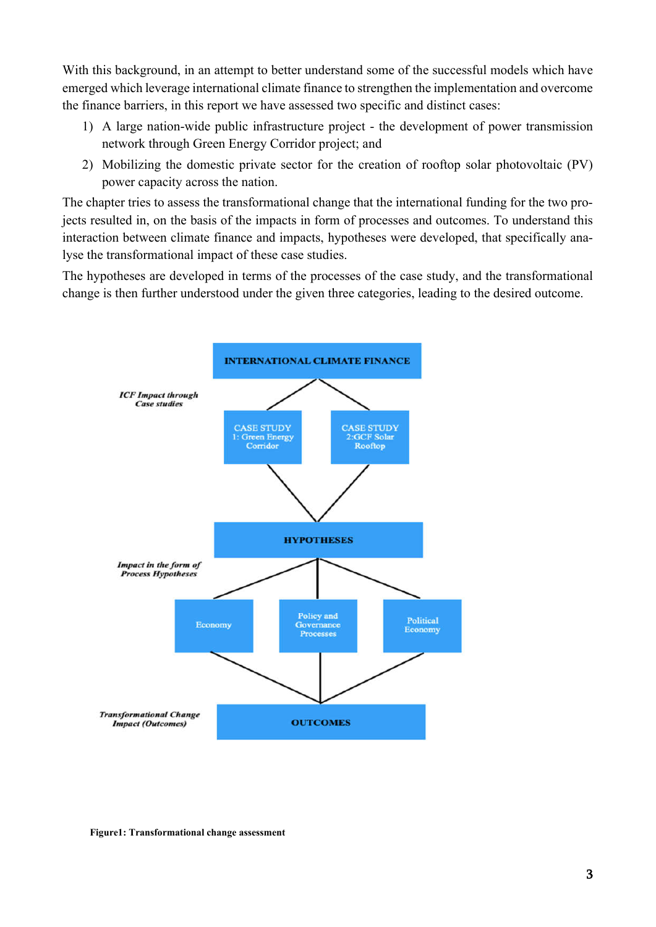With this background, in an attempt to better understand some of the successful models which have emerged which leverage international climate finance to strengthen the implementation and overcome the finance barriers, in this report we have assessed two specific and distinct cases:

- 1) A large nation-wide public infrastructure project the development of power transmission network through Green Energy Corridor project; and
- 2) Mobilizing the domestic private sector for the creation of rooftop solar photovoltaic (PV) power capacity across the nation.

The chapter tries to assess the transformational change that the international funding for the two projects resulted in, on the basis of the impacts in form of processes and outcomes. To understand this interaction between climate finance and impacts, hypotheses were developed, that specifically analyse the transformational impact of these case studies.

The hypotheses are developed in terms of the processes of the case study, and the transformational change is then further understood under the given three categories, leading to the desired outcome.



Figure1: Transformational change assessment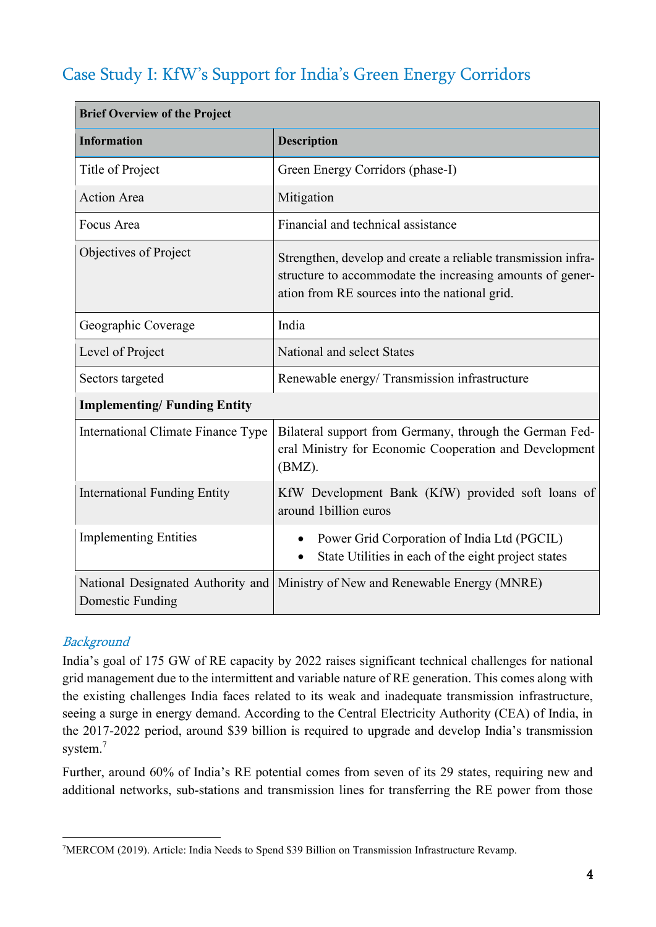## Case Study I: KfW's Support for India's Green Energy Corridors

| <b>Brief Overview of the Project</b>                  |                                                                                                                                                                             |  |  |
|-------------------------------------------------------|-----------------------------------------------------------------------------------------------------------------------------------------------------------------------------|--|--|
| <b>Information</b>                                    | <b>Description</b>                                                                                                                                                          |  |  |
| Title of Project                                      | Green Energy Corridors (phase-I)                                                                                                                                            |  |  |
| <b>Action Area</b>                                    | Mitigation                                                                                                                                                                  |  |  |
| Focus Area                                            | Financial and technical assistance                                                                                                                                          |  |  |
| Objectives of Project                                 | Strengthen, develop and create a reliable transmission infra-<br>structure to accommodate the increasing amounts of gener-<br>ation from RE sources into the national grid. |  |  |
| Geographic Coverage                                   | India                                                                                                                                                                       |  |  |
| Level of Project                                      | National and select States                                                                                                                                                  |  |  |
| Sectors targeted                                      | Renewable energy/ Transmission infrastructure                                                                                                                               |  |  |
| <b>Implementing/Funding Entity</b>                    |                                                                                                                                                                             |  |  |
| International Climate Finance Type                    | Bilateral support from Germany, through the German Fed-<br>eral Ministry for Economic Cooperation and Development<br>(BMZ).                                                 |  |  |
| <b>International Funding Entity</b>                   | KfW Development Bank (KfW) provided soft loans of<br>around 1billion euros                                                                                                  |  |  |
| <b>Implementing Entities</b>                          | Power Grid Corporation of India Ltd (PGCIL)<br>State Utilities in each of the eight project states<br>$\bullet$                                                             |  |  |
| National Designated Authority and<br>Domestic Funding | Ministry of New and Renewable Energy (MNRE)                                                                                                                                 |  |  |

## **Background**

India's goal of 175 GW of RE capacity by 2022 raises significant technical challenges for national grid management due to the intermittent and variable nature of RE generation. This comes along with the existing challenges India faces related to its weak and inadequate transmission infrastructure, seeing a surge in energy demand. According to the Central Electricity Authority (CEA) of India, in the 2017-2022 period, around \$39 billion is required to upgrade and develop India's transmission system.<sup>7</sup>

Further, around 60% of India's RE potential comes from seven of its 29 states, requiring new and additional networks, sub-stations and transmission lines for transferring the RE power from those

<sup>&</sup>lt;sup>7</sup>MERCOM (2019). Article: India Needs to Spend \$39 Billion on Transmission Infrastructure Revamp.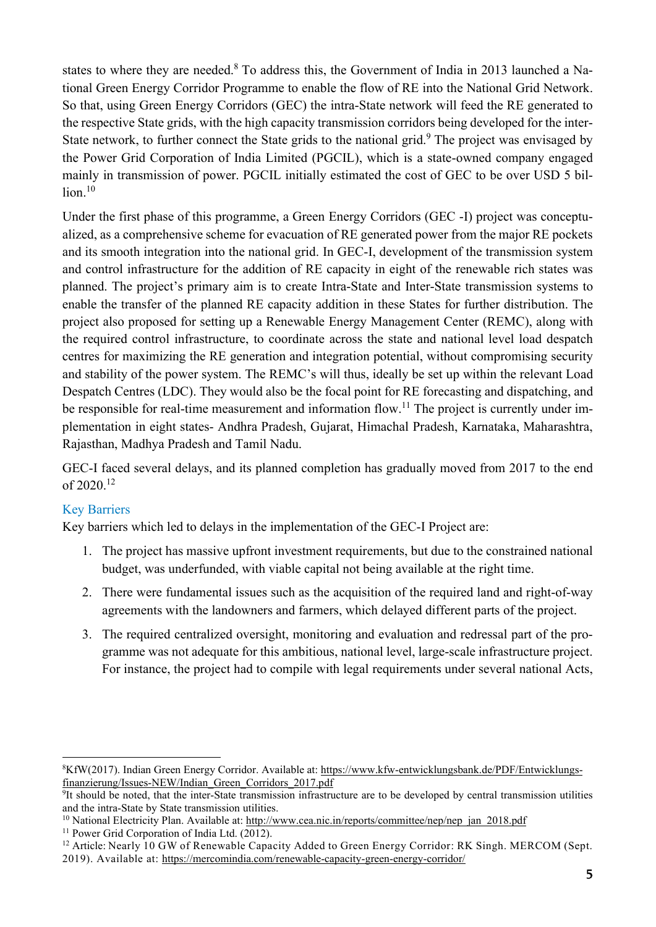states to where they are needed.<sup>8</sup> To address this, the Government of India in 2013 launched a National Green Energy Corridor Programme to enable the flow of RE into the National Grid Network. So that, using Green Energy Corridors (GEC) the intra-State network will feed the RE generated to the respective State grids, with the high capacity transmission corridors being developed for the inter-State network, to further connect the State grids to the national grid.<sup>9</sup> The project was envisaged by the Power Grid Corporation of India Limited (PGCIL), which is a state-owned company engaged mainly in transmission of power. PGCIL initially estimated the cost of GEC to be over USD 5 billion. 10

Under the first phase of this programme, a Green Energy Corridors (GEC -I) project was conceptualized, as a comprehensive scheme for evacuation of RE generated power from the major RE pockets and its smooth integration into the national grid. In GEC-I, development of the transmission system and control infrastructure for the addition of RE capacity in eight of the renewable rich states was planned. The project's primary aim is to create Intra-State and Inter-State transmission systems to enable the transfer of the planned RE capacity addition in these States for further distribution. The project also proposed for setting up a Renewable Energy Management Center (REMC), along with the required control infrastructure, to coordinate across the state and national level load despatch centres for maximizing the RE generation and integration potential, without compromising security and stability of the power system. The REMC's will thus, ideally be set up within the relevant Load Despatch Centres (LDC). They would also be the focal point for RE forecasting and dispatching, and be responsible for real-time measurement and information flow.<sup>11</sup> The project is currently under implementation in eight states- Andhra Pradesh, Gujarat, Himachal Pradesh, Karnataka, Maharashtra, Rajasthan, Madhya Pradesh and Tamil Nadu.

GEC-I faced several delays, and its planned completion has gradually moved from 2017 to the end of 2020.<sup>12</sup>

## Key Barriers

Key barriers which led to delays in the implementation of the GEC-I Project are:

- 1. The project has massive upfront investment requirements, but due to the constrained national budget, was underfunded, with viable capital not being available at the right time.
- 2. There were fundamental issues such as the acquisition of the required land and right-of-way agreements with the landowners and farmers, which delayed different parts of the project.
- 3. The required centralized oversight, monitoring and evaluation and redressal part of the programme was not adequate for this ambitious, national level, large-scale infrastructure project. For instance, the project had to compile with legal requirements under several national Acts,

<sup>&</sup>lt;sup>8</sup>KfW(2017). Indian Green Energy Corridor. Available at: https://www.kfw-entwicklungsbank.de/PDF/Entwicklungsfinanzierung/Issues-NEW/Indian\_Green\_Corridors\_2017.pdf

<sup>&</sup>lt;sup>9</sup>It should be noted, that the inter-State transmission infrastructure are to be developed by central transmission utilities and the intra-State by State transmission utilities.

<sup>&</sup>lt;sup>10</sup> National Electricity Plan. Available at:  $\frac{http://www.cea.nic.in/reports/commitee/nep/nep-jan_2018.pdf}{http://www.cea.nic.in/reports/commitee/nep/nep-jan_2018.pdf}$ 

<sup>&</sup>lt;sup>12</sup> Article: Nearly 10 GW of Renewable Capacity Added to Green Energy Corridor: RK Singh. MERCOM (Sept. 2019). Available at: https://mercomindia.com/renewable-capacity-green-energy-corridor/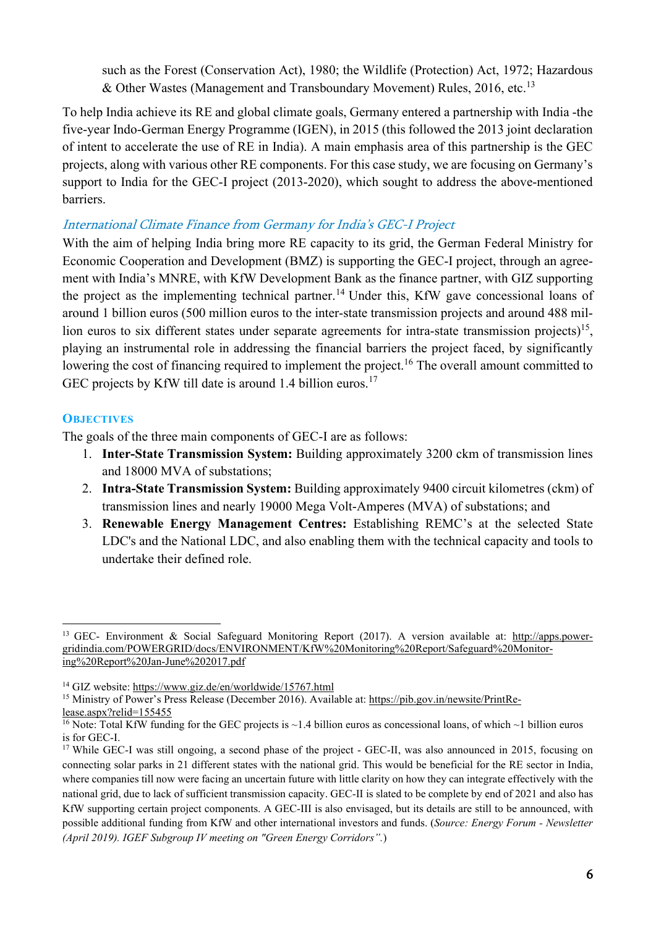such as the Forest (Conservation Act), 1980; the Wildlife (Protection) Act, 1972; Hazardous & Other Wastes (Management and Transboundary Movement) Rules,  $2016$ , etc.<sup>13</sup>

To help India achieve its RE and global climate goals, Germany entered a partnership with India -the five-year Indo-German Energy Programme (IGEN), in 2015 (this followed the 2013 joint declaration of intent to accelerate the use of RE in India). A main emphasis area of this partnership is the GEC projects, along with various other RE components. For this case study, we are focusing on Germany's support to India for the GEC-I project (2013-2020), which sought to address the above-mentioned barriers.

## International Climate Finance from Germany for India's GEC-I Project

With the aim of helping India bring more RE capacity to its grid, the German Federal Ministry for Economic Cooperation and Development (BMZ) is supporting the GEC-I project, through an agreement with India's MNRE, with KfW Development Bank as the finance partner, with GIZ supporting the project as the implementing technical partner. <sup>14</sup> Under this, KfW gave concessional loans of around 1 billion euros (500 million euros to the inter-state transmission projects and around 488 million euros to six different states under separate agreements for intra-state transmission projects)<sup>15</sup>, playing an instrumental role in addressing the financial barriers the project faced, by significantly lowering the cost of financing required to implement the project.<sup>16</sup> The overall amount committed to GEC projects by KfW till date is around 1.4 billion euros.<sup>17</sup>

## **OBJECTIVES**

The goals of the three main components of GEC-I are as follows:

- 1. Inter-State Transmission System: Building approximately 3200 ckm of transmission lines and 18000 MVA of substations;
- 2. Intra-State Transmission System: Building approximately 9400 circuit kilometres (ckm) of transmission lines and nearly 19000 Mega Volt-Amperes (MVA) of substations; and
- 3. Renewable Energy Management Centres: Establishing REMC's at the selected State LDC's and the National LDC, and also enabling them with the technical capacity and tools to undertake their defined role.

<sup>&</sup>lt;sup>13</sup> GEC- Environment & Social Safeguard Monitoring Report (2017). A version available at: http://apps.powergridindia.com/POWERGRID/docs/ENVIRONMENT/KfW%20Monitoring%20Report/Safeguard%20Monitoring%20Report%20Jan-June%202017.pdf

<sup>14</sup> GIZ website: https://www.giz.de/en/worldwide/15767.html

<sup>&</sup>lt;sup>15</sup> Ministry of Power's Press Release (December 2016). Available at: https://pib.gov.in/newsite/PrintRe-

lease.aspx?relid=155455

<sup>&</sup>lt;sup>16</sup> Note: Total KfW funding for the GEC projects is  $\sim$ 1.4 billion euros as concessional loans, of which  $\sim$ 1 billion euros is for GEC-I.

<sup>&</sup>lt;sup>17</sup> While GEC-I was still ongoing, a second phase of the project - GEC-II, was also announced in 2015, focusing on connecting solar parks in 21 different states with the national grid. This would be beneficial for the RE sector in India, where companies till now were facing an uncertain future with little clarity on how they can integrate effectively with the national grid, due to lack of sufficient transmission capacity. GEC-II is slated to be complete by end of 2021 and also has KfW supporting certain project components. A GEC-III is also envisaged, but its details are still to be announced, with possible additional funding from KfW and other international investors and funds. (*Source: Energy Forum - Newsletter (April 2019). IGEF Subgroup IV meeting on "Green Energy Corridors".*)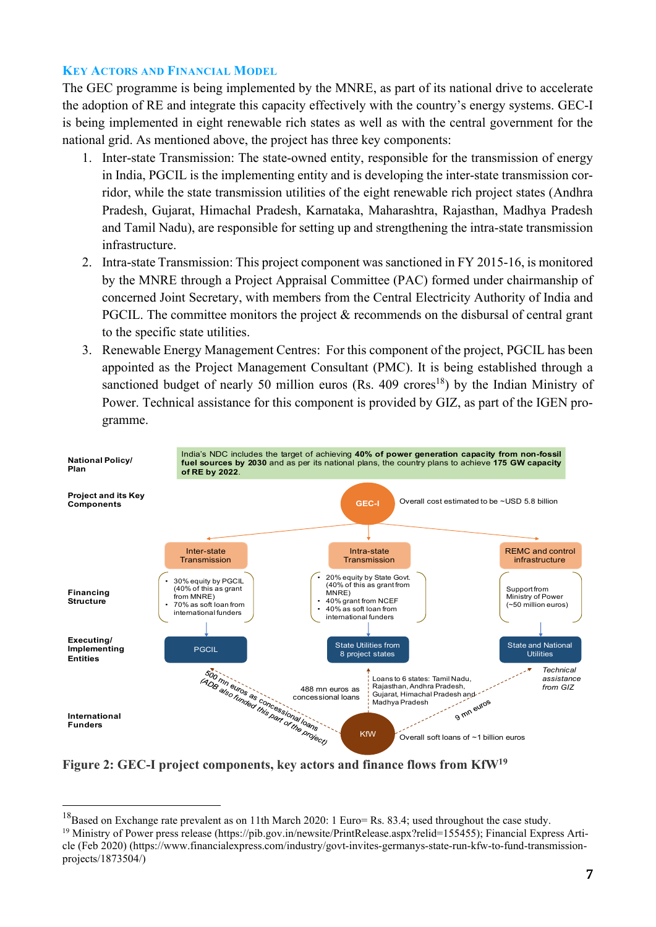### KEY ACTORS AND FINANCIAL MODEL

The GEC programme is being implemented by the MNRE, as part of its national drive to accelerate the adoption of RE and integrate this capacity effectively with the country's energy systems. GEC-I is being implemented in eight renewable rich states as well as with the central government for the national grid. As mentioned above, the project has three key components:

- 1. Inter-state Transmission: The state-owned entity, responsible for the transmission of energy in India, PGCIL is the implementing entity and is developing the inter-state transmission corridor, while the state transmission utilities of the eight renewable rich project states (Andhra Pradesh, Gujarat, Himachal Pradesh, Karnataka, Maharashtra, Rajasthan, Madhya Pradesh and Tamil Nadu), are responsible for setting up and strengthening the intra-state transmission infrastructure.
- 2. Intra-state Transmission: This project component was sanctioned in FY 2015-16, is monitored by the MNRE through a Project Appraisal Committee (PAC) formed under chairmanship of concerned Joint Secretary, with members from the Central Electricity Authority of India and PGCIL. The committee monitors the project & recommends on the disbursal of central grant to the specific state utilities.
- 3. Renewable Energy Management Centres: For this component of the project, PGCIL has been appointed as the Project Management Consultant (PMC). It is being established through a sanctioned budget of nearly 50 million euros (Rs. 409 crores<sup>18</sup>) by the Indian Ministry of Power. Technical assistance for this component is provided by GIZ, as part of the IGEN programme.



Figure 2: GEC-I project components, key actors and finance flows from KfW<sup>19</sup>

 $18$ Based on Exchange rate prevalent as on 11th March 2020: 1 Euro= Rs. 83.4; used throughout the case study.

<sup>&</sup>lt;sup>19</sup> Ministry of Power press release (https://pib.gov.in/newsite/PrintRelease.aspx?relid=155455); Financial Express Article (Feb 2020) (https://www.financialexpress.com/industry/govt-invites-germanys-state-run-kfw-to-fund-transmissionprojects/1873504/)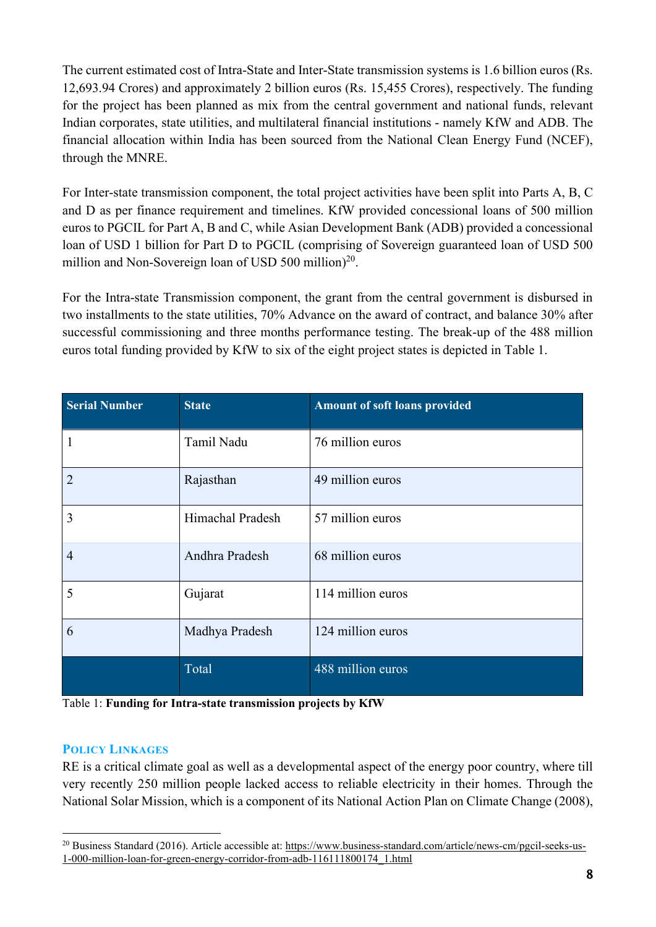The current estimated cost of Intra-State and Inter-State transmission systems is 1.6 billion euros (Rs. 12,693.94 Crores) and approximately 2 billion euros (Rs. 15,455 Crores), respectively. The funding for the project has been planned as mix from the central government and national funds, relevant Indian corporates, state utilities, and multilateral financial institutions - namely KfW and ADB. The financial allocation within India has been sourced from the National Clean Energy Fund (NCEF), through the MNRE.

For Inter-state transmission component, the total project activities have been split into Parts A, B, C and D as per finance requirement and timelines. KfW provided concessional loans of 500 million euros to PGCIL for Part A, B and C, while Asian Development Bank (ADB) provided a concessional loan of USD 1 billion for Part D to PGCIL (comprising of Sovereign guaranteed loan of USD 500 million and Non-Sovereign loan of USD 500 million)<sup>20</sup>.

For the Intra-state Transmission component, the grant from the central government is disbursed in two installments to the state utilities, 70% Advance on the award of contract, and balance 30% after successful commissioning and three months performance testing. The break-up of the 488 million euros total funding provided by KfW to six of the eight project states is depicted in Table 1.

| <b>Serial Number</b> | <b>State</b>     | <b>Amount of soft loans provided</b> |
|----------------------|------------------|--------------------------------------|
| $\mathbf{1}$         | Tamil Nadu       | 76 million euros                     |
| $\overline{2}$       | Rajasthan        | 49 million euros                     |
| 3                    | Himachal Pradesh | 57 million euros                     |
| $\overline{4}$       | Andhra Pradesh   | 68 million euros                     |
| 5                    | Gujarat          | 114 million euros                    |
| 6                    | Madhya Pradesh   | 124 million euros                    |
|                      | Total            | 488 million euros                    |

Table 1: Funding for Intra-state transmission projects by KfW

## POLICY LINKAGES

RE is a critical climate goal as well as a developmental aspect of the energy poor country, where till very recently 250 million people lacked access to reliable electricity in their homes. Through the National Solar Mission, which is a component of its National Action Plan on Climate Change (2008),

<sup>&</sup>lt;sup>20</sup> Business Standard (2016). Article accessible at: https://www.business-standard.com/article/news-cm/pgcil-seeks-us-1-000-million-loan-for-green-energy-corridor-from-adb-116111800174\_1.html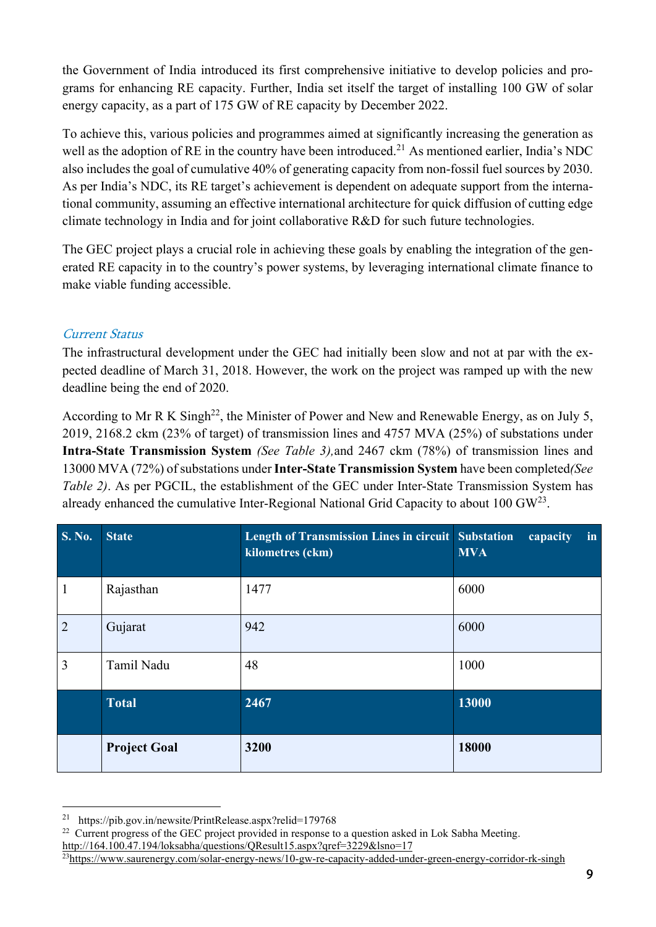the Government of India introduced its first comprehensive initiative to develop policies and programs for enhancing RE capacity. Further, India set itself the target of installing 100 GW of solar energy capacity, as a part of 175 GW of RE capacity by December 2022.

To achieve this, various policies and programmes aimed at significantly increasing the generation as well as the adoption of RE in the country have been introduced.<sup>21</sup> As mentioned earlier, India's NDC also includes the goal of cumulative 40% of generating capacity from non-fossil fuel sources by 2030. As per India's NDC, its RE target's achievement is dependent on adequate support from the international community, assuming an effective international architecture for quick diffusion of cutting edge climate technology in India and for joint collaborative R&D for such future technologies.

The GEC project plays a crucial role in achieving these goals by enabling the integration of the generated RE capacity in to the country's power systems, by leveraging international climate finance to make viable funding accessible.

## Current Status

The infrastructural development under the GEC had initially been slow and not at par with the expected deadline of March 31, 2018. However, the work on the project was ramped up with the new deadline being the end of 2020.

According to Mr R K Singh<sup>22</sup>, the Minister of Power and New and Renewable Energy, as on July 5, 2019, 2168.2 ckm (23% of target) of transmission lines and 4757 MVA (25%) of substations under Intra-State Transmission System *(See Table 3),*and 2467 ckm (78%) of transmission lines and 13000 MVA (72%) ofsubstations underInter-State Transmission System have been completed*(See Table 2)*. As per PGCIL, the establishment of the GEC under Inter-State Transmission System has already enhanced the cumulative Inter-Regional National Grid Capacity to about  $100 \text{ GW}^{23}$ .

| S. No.         | <b>State</b>        | Length of Transmission Lines in circuit Substation<br>kilometres (ckm) | capacity<br>in<br><b>MVA</b> |
|----------------|---------------------|------------------------------------------------------------------------|------------------------------|
| $\mathbf{1}$   | Rajasthan           | 1477                                                                   | 6000                         |
| $\overline{2}$ | Gujarat             | 942                                                                    | 6000                         |
| $\overline{3}$ | Tamil Nadu          | 48                                                                     | 1000                         |
|                | <b>Total</b>        | 2467                                                                   | 13000                        |
|                | <b>Project Goal</b> | 3200                                                                   | 18000                        |

<sup>21</sup> https://pib.gov.in/newsite/PrintRelease.aspx?relid=179768

<sup>&</sup>lt;sup>22</sup> Current progress of the GEC project provided in response to a question asked in Lok Sabha Meeting.

http://164.100.47.194/loksabha/questions/QResult15.aspx?qref=3229&lsno=17

<sup>23</sup>https://www.saurenergy.com/solar-energy-news/10-gw-re-capacity-added-under-green-energy-corridor-rk-singh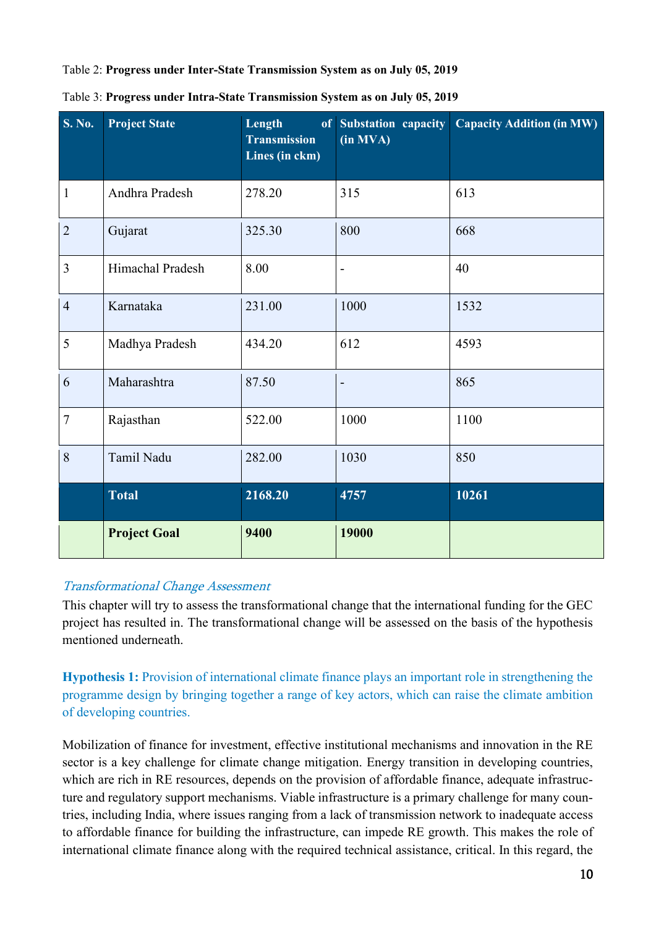Table 2: Progress under Inter-State Transmission System as on July 05, 2019

| <b>S. No.</b>  | <b>Project State</b> | Length<br><b>Transmission</b><br>Lines (in ckm) | of Substation capacity<br>(in MVA) | <b>Capacity Addition (in MW)</b> |
|----------------|----------------------|-------------------------------------------------|------------------------------------|----------------------------------|
| $\mathbf{1}$   | Andhra Pradesh       | 278.20                                          | 315                                | 613                              |
| $\overline{2}$ | Gujarat              | 325.30                                          | 800                                | 668                              |
| 3              | Himachal Pradesh     | 8.00                                            | $\overline{\phantom{0}}$           | 40                               |
| $\overline{4}$ | Karnataka            | 231.00                                          | 1000                               | 1532                             |
| 5              | Madhya Pradesh       | 434.20                                          | 612                                | 4593                             |
| 6              | Maharashtra          | 87.50                                           | $\overline{\phantom{m}}$           | 865                              |
| $\tau$         | Rajasthan            | 522.00                                          | 1000                               | 1100                             |
| 8              | Tamil Nadu           | 282.00                                          | 1030                               | 850                              |
|                | <b>Total</b>         | 2168.20                                         | 4757                               | 10261                            |
|                | <b>Project Goal</b>  | 9400                                            | 19000                              |                                  |

Table 3: Progress under Intra-State Transmission System as on July 05, 2019

## Transformational Change Assessment

This chapter will try to assess the transformational change that the international funding for the GEC project has resulted in. The transformational change will be assessed on the basis of the hypothesis mentioned underneath.

Hypothesis 1: Provision of international climate finance plays an important role in strengthening the programme design by bringing together a range of key actors, which can raise the climate ambition of developing countries.

Mobilization of finance for investment, effective institutional mechanisms and innovation in the RE sector is a key challenge for climate change mitigation. Energy transition in developing countries, which are rich in RE resources, depends on the provision of affordable finance, adequate infrastructure and regulatory support mechanisms. Viable infrastructure is a primary challenge for many countries, including India, where issues ranging from a lack of transmission network to inadequate access to affordable finance for building the infrastructure, can impede RE growth. This makes the role of international climate finance along with the required technical assistance, critical. In this regard, the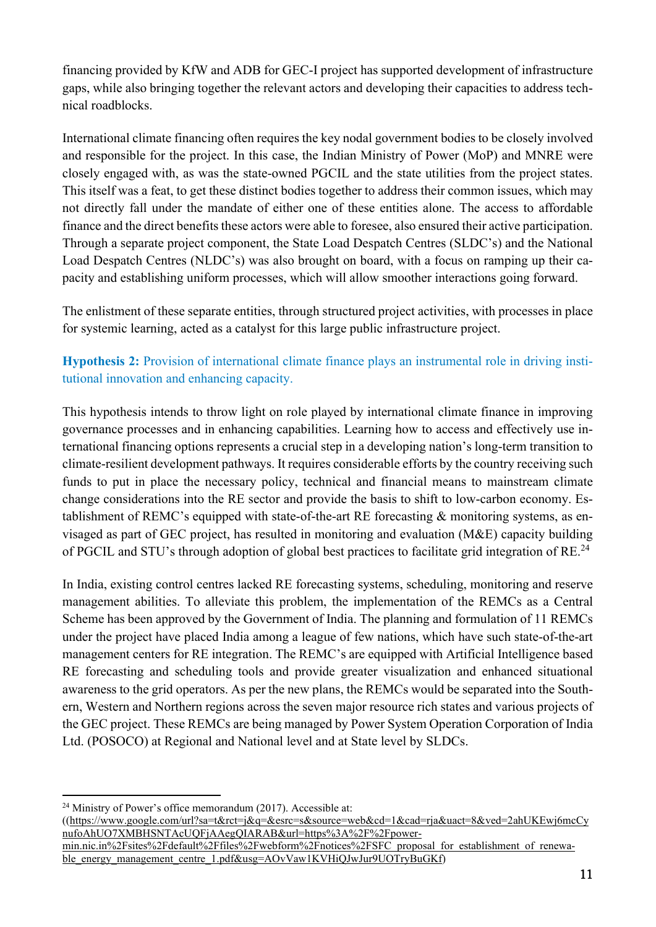financing provided by KfW and ADB for GEC-I project has supported development of infrastructure gaps, while also bringing together the relevant actors and developing their capacities to address technical roadblocks.

International climate financing often requires the key nodal government bodies to be closely involved and responsible for the project. In this case, the Indian Ministry of Power (MoP) and MNRE were closely engaged with, as was the state-owned PGCIL and the state utilities from the project states. This itself was a feat, to get these distinct bodies together to address their common issues, which may not directly fall under the mandate of either one of these entities alone. The access to affordable finance and the direct benefits these actors were able to foresee, also ensured their active participation. Through a separate project component, the State Load Despatch Centres (SLDC's) and the National Load Despatch Centres (NLDC's) was also brought on board, with a focus on ramping up their capacity and establishing uniform processes, which will allow smoother interactions going forward.

The enlistment of these separate entities, through structured project activities, with processes in place for systemic learning, acted as a catalyst for this large public infrastructure project.

## Hypothesis 2: Provision of international climate finance plays an instrumental role in driving institutional innovation and enhancing capacity.

This hypothesis intends to throw light on role played by international climate finance in improving governance processes and in enhancing capabilities. Learning how to access and effectively use international financing options represents a crucial step in a developing nation's long-term transition to climate-resilient development pathways. It requires considerable efforts by the country receiving such funds to put in place the necessary policy, technical and financial means to mainstream climate change considerations into the RE sector and provide the basis to shift to low-carbon economy. Establishment of REMC's equipped with state-of-the-art RE forecasting & monitoring systems, as envisaged as part of GEC project, has resulted in monitoring and evaluation (M&E) capacity building of PGCIL and STU's through adoption of global best practices to facilitate grid integration of RE.<sup>24</sup>

In India, existing control centres lacked RE forecasting systems, scheduling, monitoring and reserve management abilities. To alleviate this problem, the implementation of the REMCs as a Central Scheme has been approved by the Government of India. The planning and formulation of 11 REMCs under the project have placed India among a league of few nations, which have such state-of-the-art management centers for RE integration. The REMC's are equipped with Artificial Intelligence based RE forecasting and scheduling tools and provide greater visualization and enhanced situational awareness to the grid operators. As per the new plans, the REMCs would be separated into the Southern, Western and Northern regions across the seven major resource rich states and various projects of the GEC project. These REMCs are being managed by Power System Operation Corporation of India Ltd. (POSOCO) at Regional and National level and at State level by SLDCs.

((https://www.google.com/url?sa=t&rct=j&q=&esrc=s&source=web&cd=1&cad=rja&uact=8&ved=2ahUKEwj6mcCy nufoAhUO7XMBHSNTAcUQFjAAegQIARAB&url=https%3A%2F%2Fpower-

 $24$  Ministry of Power's office memorandum (2017). Accessible at:

min.nic.in%2Fsites%2Fdefault%2Ffiles%2Fwebform%2Fnotices%2FSFC\_proposal\_for\_establishment\_of\_renewable\_energy\_management\_centre\_1.pdf&usg=AOvVaw1KVHiQJwJur9UOTryBuGKf)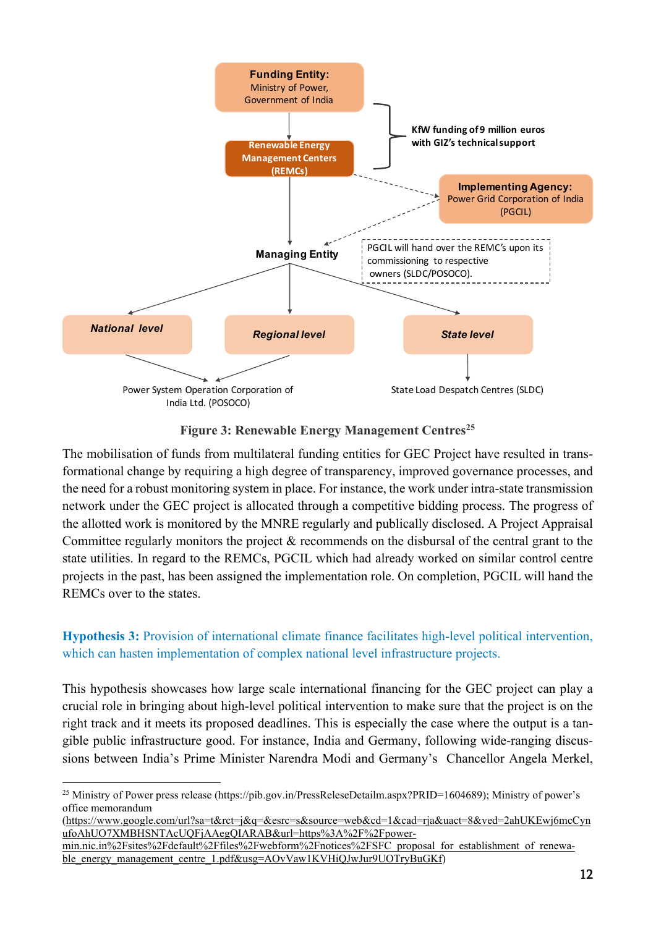

Figure 3: Renewable Energy Management Centres<sup>25</sup>

The mobilisation of funds from multilateral funding entities for GEC Project have resulted in transformational change by requiring a high degree of transparency, improved governance processes, and the need for a robust monitoring system in place. For instance, the work under intra-state transmission network under the GEC project is allocated through a competitive bidding process. The progress of the allotted work is monitored by the MNRE regularly and publically disclosed. A Project Appraisal Committee regularly monitors the project & recommends on the disbursal of the central grant to the state utilities. In regard to the REMCs, PGCIL which had already worked on similar control centre projects in the past, has been assigned the implementation role. On completion, PGCIL will hand the REMCs over to the states.

## Hypothesis 3: Provision of international climate finance facilitates high-level political intervention, which can hasten implementation of complex national level infrastructure projects.

This hypothesis showcases how large scale international financing for the GEC project can play a crucial role in bringing about high-level political intervention to make sure that the project is on the right track and it meets its proposed deadlines. This is especially the case where the output is a tangible public infrastructure good. For instance, India and Germany, following wide-ranging discussions between India's Prime Minister Narendra Modi and Germany's Chancellor Angela Merkel,

(https://www.google.com/url?sa=t&rct=j&q=&esrc=s&source=web&cd=1&cad=rja&uact=8&ved=2ahUKEwj6mcCyn ufoAhUO7XMBHSNTAcUQFjAAegQIARAB&url=https%3A%2F%2Fpower-

<sup>&</sup>lt;sup>25</sup> Ministry of Power press release (https://pib.gov.in/PressReleseDetailm.aspx?PRID=1604689); Ministry of power's office memorandum

min.nic.in%2Fsites%2Fdefault%2Ffiles%2Fwebform%2Fnotices%2FSFC\_proposal\_for\_establishment\_of\_renewable\_energy\_management\_centre\_1.pdf&usg=AOvVaw1KVHiQJwJur9UOTryBuGKf)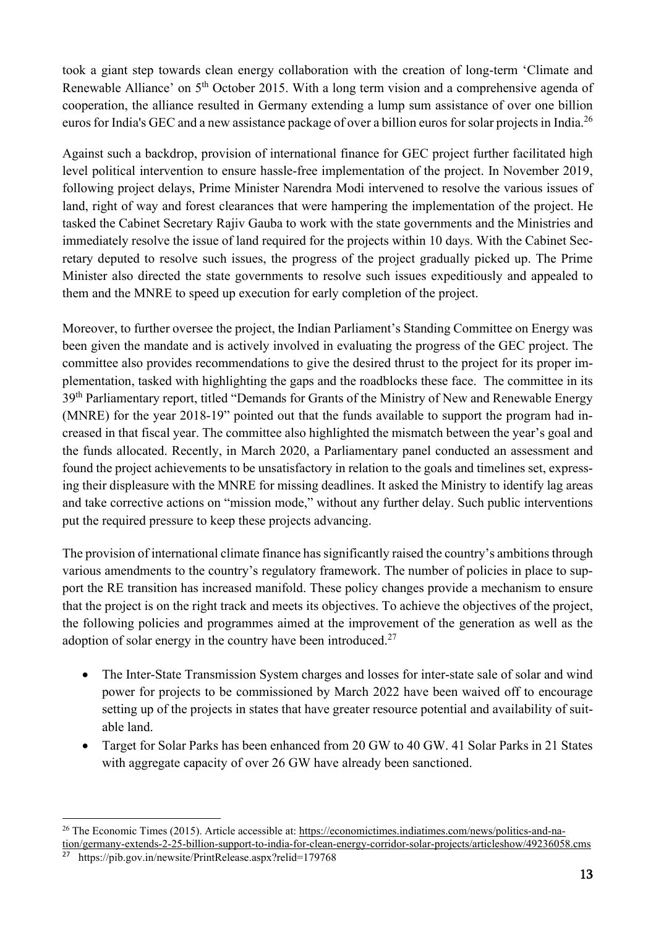took a giant step towards clean energy collaboration with the creation of long-term 'Climate and Renewable Alliance' on 5<sup>th</sup> October 2015. With a long term vision and a comprehensive agenda of cooperation, the alliance resulted in Germany extending a lump sum assistance of over one billion euros for India's GEC and a new assistance package of over a billion euros for solar projects in India.<sup>26</sup>

Against such a backdrop, provision of international finance for GEC project further facilitated high level political intervention to ensure hassle-free implementation of the project. In November 2019, following project delays, Prime Minister Narendra Modi intervened to resolve the various issues of land, right of way and forest clearances that were hampering the implementation of the project. He tasked the Cabinet Secretary Rajiv Gauba to work with the state governments and the Ministries and immediately resolve the issue of land required for the projects within 10 days. With the Cabinet Secretary deputed to resolve such issues, the progress of the project gradually picked up. The Prime Minister also directed the state governments to resolve such issues expeditiously and appealed to them and the MNRE to speed up execution for early completion of the project.

Moreover, to further oversee the project, the Indian Parliament's Standing Committee on Energy was been given the mandate and is actively involved in evaluating the progress of the GEC project. The committee also provides recommendations to give the desired thrust to the project for its proper implementation, tasked with highlighting the gaps and the roadblocks these face. The committee in its 39<sup>th</sup> Parliamentary report, titled "Demands for Grants of the Ministry of New and Renewable Energy (MNRE) for the year 2018-19" pointed out that the funds available to support the program had increased in that fiscal year. The committee also highlighted the mismatch between the year's goal and the funds allocated. Recently, in March 2020, a Parliamentary panel conducted an assessment and found the project achievements to be unsatisfactory in relation to the goals and timelines set, expressing their displeasure with the MNRE for missing deadlines. It asked the Ministry to identify lag areas and take corrective actions on "mission mode," without any further delay. Such public interventions put the required pressure to keep these projects advancing.

The provision of international climate finance has significantly raised the country's ambitions through various amendments to the country's regulatory framework. The number of policies in place to support the RE transition has increased manifold. These policy changes provide a mechanism to ensure that the project is on the right track and meets its objectives. To achieve the objectives of the project, the following policies and programmes aimed at the improvement of the generation as well as the adoption of solar energy in the country have been introduced.<sup>27</sup>

- The Inter-State Transmission System charges and losses for inter-state sale of solar and wind power for projects to be commissioned by March 2022 have been waived off to encourage setting up of the projects in states that have greater resource potential and availability of suitable land.
- Target for Solar Parks has been enhanced from 20 GW to 40 GW. 41 Solar Parks in 21 States with aggregate capacity of over 26 GW have already been sanctioned.

<sup>26</sup> The Economic Times (2015). Article accessible at: https://economictimes.indiatimes.com/news/politics-and-nation/germany-extends-2-25-billion-support-to-india-for-clean-energy-corridor-solar-projects/articleshow/49236058.cms

<sup>27</sup> https://pib.gov.in/newsite/PrintRelease.aspx?relid=179768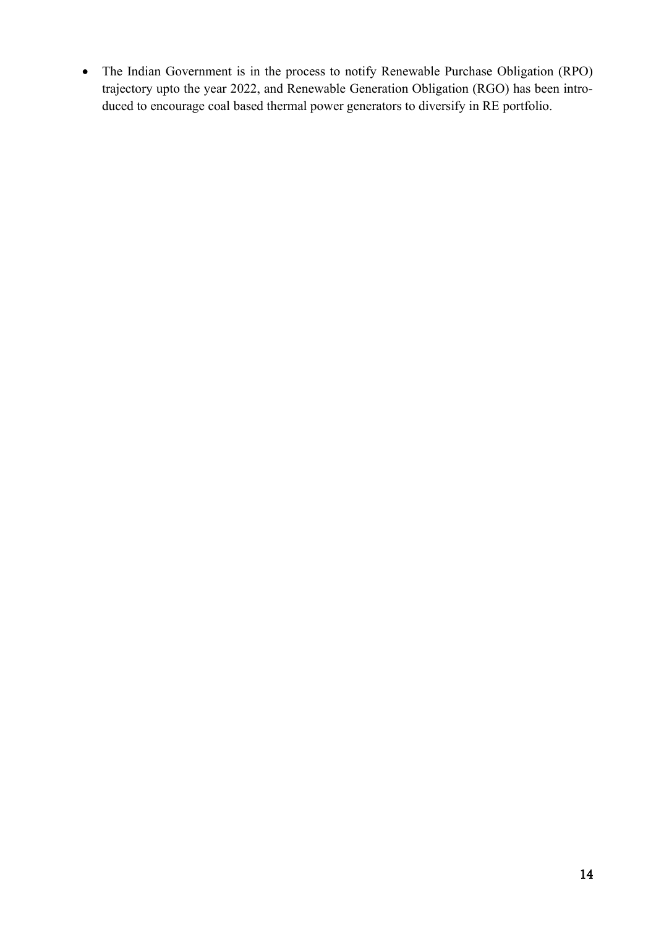The Indian Government is in the process to notify Renewable Purchase Obligation (RPO) trajectory upto the year 2022, and Renewable Generation Obligation (RGO) has been introduced to encourage coal based thermal power generators to diversify in RE portfolio.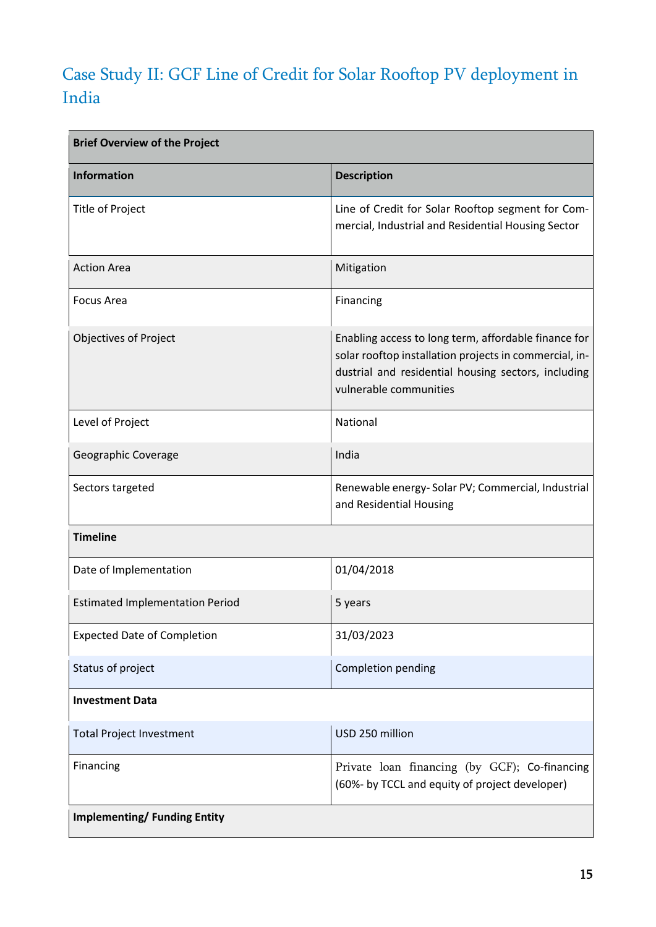# Case Study II: GCF Line of Credit for Solar Rooftop PV deployment in India

| <b>Brief Overview of the Project</b>   |                                                                                                                                                                                                 |  |
|----------------------------------------|-------------------------------------------------------------------------------------------------------------------------------------------------------------------------------------------------|--|
| <b>Information</b>                     | <b>Description</b>                                                                                                                                                                              |  |
| Title of Project                       | Line of Credit for Solar Rooftop segment for Com-<br>mercial, Industrial and Residential Housing Sector                                                                                         |  |
| <b>Action Area</b>                     | Mitigation                                                                                                                                                                                      |  |
| Focus Area                             | Financing                                                                                                                                                                                       |  |
| <b>Objectives of Project</b>           | Enabling access to long term, affordable finance for<br>solar rooftop installation projects in commercial, in-<br>dustrial and residential housing sectors, including<br>vulnerable communities |  |
| Level of Project                       | National                                                                                                                                                                                        |  |
| Geographic Coverage                    | India                                                                                                                                                                                           |  |
| Sectors targeted                       | Renewable energy- Solar PV; Commercial, Industrial<br>and Residential Housing                                                                                                                   |  |
| <b>Timeline</b>                        |                                                                                                                                                                                                 |  |
| Date of Implementation                 | 01/04/2018                                                                                                                                                                                      |  |
| <b>Estimated Implementation Period</b> | 5 years                                                                                                                                                                                         |  |
| <b>Expected Date of Completion</b>     | 31/03/2023                                                                                                                                                                                      |  |
| Status of project                      | Completion pending                                                                                                                                                                              |  |
| <b>Investment Data</b>                 |                                                                                                                                                                                                 |  |
| <b>Total Project Investment</b>        | USD 250 million                                                                                                                                                                                 |  |
| Financing                              | Private loan financing (by GCF); Co-financing<br>(60%- by TCCL and equity of project developer)                                                                                                 |  |
| <b>Implementing/Funding Entity</b>     |                                                                                                                                                                                                 |  |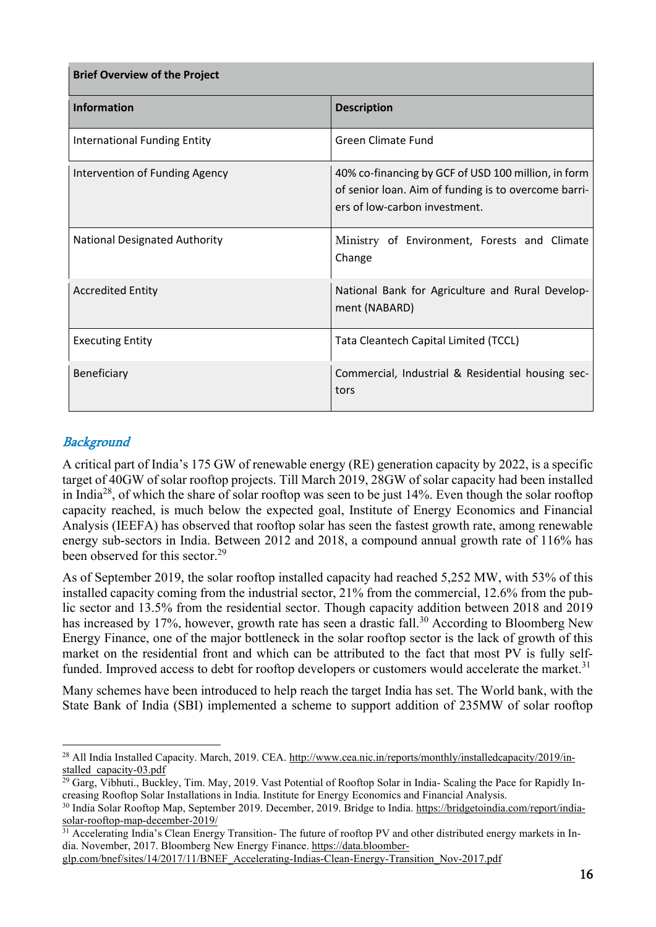| <b>Brief Overview of the Project</b> |                                                                                                                                              |  |
|--------------------------------------|----------------------------------------------------------------------------------------------------------------------------------------------|--|
| <b>Information</b>                   | <b>Description</b>                                                                                                                           |  |
| <b>International Funding Entity</b>  | Green Climate Fund                                                                                                                           |  |
| Intervention of Funding Agency       | 40% co-financing by GCF of USD 100 million, in form<br>of senior loan. Aim of funding is to overcome barri-<br>ers of low-carbon investment. |  |
| <b>National Designated Authority</b> | Ministry of Environment, Forests and Climate<br>Change                                                                                       |  |
| <b>Accredited Entity</b>             | National Bank for Agriculture and Rural Develop-<br>ment (NABARD)                                                                            |  |
| <b>Executing Entity</b>              | Tata Cleantech Capital Limited (TCCL)                                                                                                        |  |
| Beneficiary                          | Commercial, Industrial & Residential housing sec-<br>tors                                                                                    |  |

## **Background**

A critical part of India's 175 GW of renewable energy (RE) generation capacity by 2022, is a specific target of 40GW of solar rooftop projects. Till March 2019, 28GW of solar capacity had been installed in India28, of which the share of solar rooftop was seen to be just 14%. Even though the solar rooftop capacity reached, is much below the expected goal, Institute of Energy Economics and Financial Analysis (IEEFA) has observed that rooftop solar has seen the fastest growth rate, among renewable energy sub-sectors in India. Between 2012 and 2018, a compound annual growth rate of 116% has been observed for this sector.<sup>29</sup>

As of September 2019, the solar rooftop installed capacity had reached 5,252 MW, with 53% of this installed capacity coming from the industrial sector, 21% from the commercial, 12.6% from the public sector and 13.5% from the residential sector. Though capacity addition between 2018 and 2019 has increased by 17%, however, growth rate has seen a drastic fall.<sup>30</sup> According to Bloomberg New Energy Finance, one of the major bottleneck in the solar rooftop sector is the lack of growth of this market on the residential front and which can be attributed to the fact that most PV is fully selffunded. Improved access to debt for rooftop developers or customers would accelerate the market.<sup>31</sup>

Many schemes have been introduced to help reach the target India has set. The World bank, with the State Bank of India (SBI) implemented a scheme to support addition of 235MW of solar rooftop

<sup>&</sup>lt;sup>28</sup> All India Installed Capacity. March, 2019. CEA. http://www.cea.nic.in/reports/monthly/installedcapacity/2019/installed\_capacity-03.pdf

<sup>&</sup>lt;sup>29</sup> Garg, Vibhuti., Buckley, Tim. May, 2019. Vast Potential of Rooftop Solar in India- Scaling the Pace for Rapidly Increasing Rooftop Solar Installations in India. Institute for Energy Economics and Financial Analysis.

<sup>30</sup> India Solar Rooftop Map, September 2019. December, 2019. Bridge to India. https://bridgetoindia.com/report/indiasolar-rooftop-map-december-2019/

<sup>&</sup>lt;sup>31</sup> Accelerating India's Clean Energy Transition- The future of rooftop PV and other distributed energy markets in India. November, 2017. Bloomberg New Energy Finance. https://data.bloomber-

glp.com/bnef/sites/14/2017/11/BNEF\_Accelerating-Indias-Clean-Energy-Transition\_Nov-2017.pdf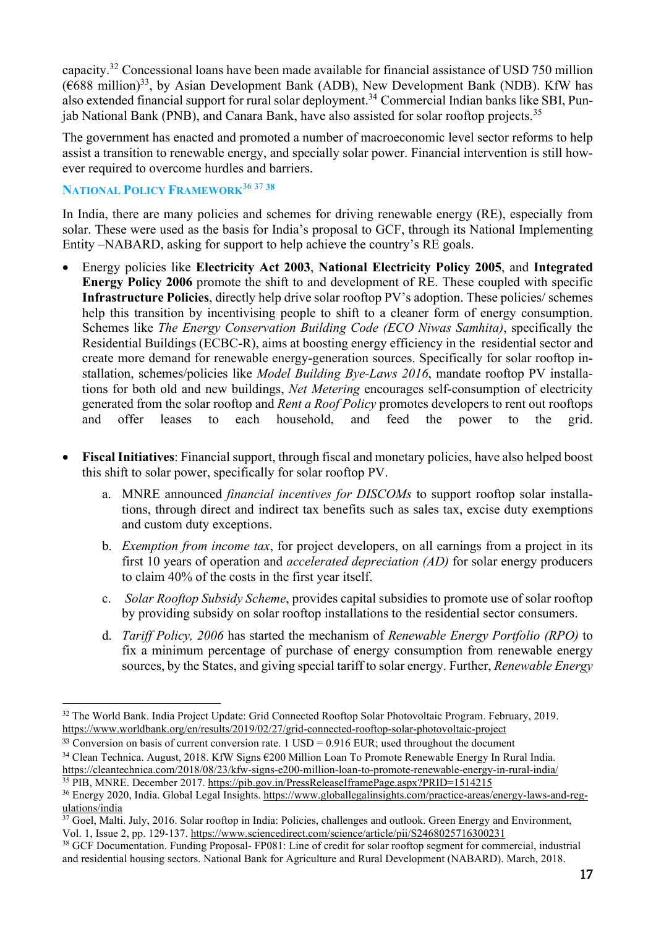capacity.32 Concessional loans have been made available for financial assistance of USD 750 million  $(6688 \text{ million})^{33}$ , by Asian Development Bank (ADB), New Development Bank (NDB). KfW has also extended financial support for rural solar deployment.<sup>34</sup> Commercial Indian banks like SBI, Punjab National Bank (PNB), and Canara Bank, have also assisted for solar rooftop projects.<sup>35</sup>

The government has enacted and promoted a number of macroeconomic level sector reforms to help assist a transition to renewable energy, and specially solar power. Financial intervention is still however required to overcome hurdles and barriers.

## NATIONAL POLICY FRAMEWORK<sup>36 37</sup> 38

In India, there are many policies and schemes for driving renewable energy (RE), especially from solar. These were used as the basis for India's proposal to GCF, through its National Implementing Entity –NABARD, asking for support to help achieve the country's RE goals.

- Energy policies like Electricity Act 2003, National Electricity Policy 2005, and Integrated Energy Policy 2006 promote the shift to and development of RE. These coupled with specific Infrastructure Policies, directly help drive solar rooftop PV's adoption. These policies/ schemes help this transition by incentivising people to shift to a cleaner form of energy consumption. Schemes like *The Energy Conservation Building Code (ECO Niwas Samhita)*, specifically the Residential Buildings (ECBC-R), aims at boosting energy efficiency in the residential sector and create more demand for renewable energy-generation sources. Specifically for solar rooftop installation, schemes/policies like *Model Building Bye-Laws 2016*, mandate rooftop PV installations for both old and new buildings, *Net Metering* encourages self-consumption of electricity generated from the solar rooftop and *Rent a Roof Policy* promotes developers to rent out rooftops and offer leases to each household, and feed the power to the grid.
- Fiscal Initiatives: Financial support, through fiscal and monetary policies, have also helped boost this shift to solar power, specifically for solar rooftop PV.
	- a. MNRE announced *financial incentives for DISCOMs* to support rooftop solar installations, through direct and indirect tax benefits such as sales tax, excise duty exemptions and custom duty exceptions.
	- b. *Exemption from income tax*, for project developers, on all earnings from a project in its first 10 years of operation and *accelerated depreciation (AD)* for solar energy producers to claim 40% of the costs in the first year itself.
	- c. *Solar Rooftop Subsidy Scheme*, provides capital subsidies to promote use of solar rooftop by providing subsidy on solar rooftop installations to the residential sector consumers.
	- d. *Tariff Policy, 2006* has started the mechanism of *Renewable Energy Portfolio (RPO)* to fix a minimum percentage of purchase of energy consumption from renewable energy sources, by the States, and giving special tariff to solar energy. Further, *Renewable Energy*

<sup>34</sup> Clean Technica. August, 2018. KfW Signs €200 Million Loan To Promote Renewable Energy In Rural India.

<sup>&</sup>lt;sup>32</sup> The World Bank. India Project Update: Grid Connected Rooftop Solar Photovoltaic Program. February, 2019. https://www.worldbank.org/en/results/2019/02/27/grid-connected-rooftop-solar-photovoltaic-project

<sup>&</sup>lt;sup>33</sup> Conversion on basis of current conversion rate. 1 USD = 0.916 EUR; used throughout the document

https://cleantechnica.com/2018/08/23/kfw-signs-e200-million-loan-to-promote-renewable-energy-in-rural-india/

<sup>35</sup> PIB, MNRE. December 2017. https://pib.gov.in/PressReleaseIframePage.aspx?PRID=1514215

<sup>36</sup> Energy 2020, India. Global Legal Insights. https://www.globallegalinsights.com/practice-areas/energy-laws-and-regulations/india

<sup>&</sup>lt;sup>37</sup> Goel, Malti. July, 2016. Solar rooftop in India: Policies, challenges and outlook. Green Energy and Environment, Vol. 1, Issue 2, pp. 129-137. https://www.sciencedirect.com/science/article/pii/S2468025716300231

<sup>38</sup> GCF Documentation. Funding Proposal- FP081: Line of credit for solar rooftop segment for commercial, industrial and residential housing sectors. National Bank for Agriculture and Rural Development (NABARD). March, 2018.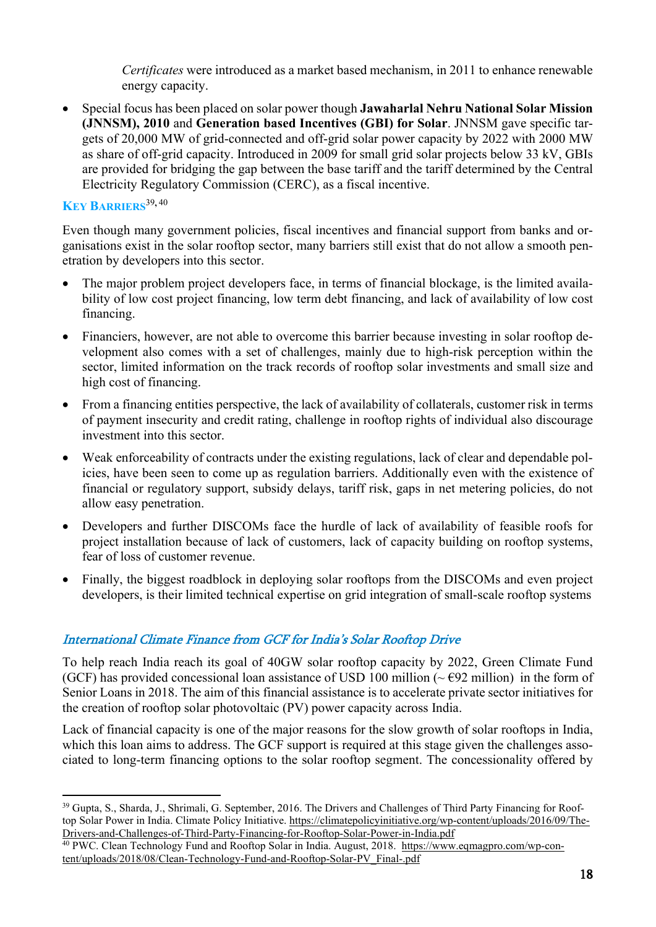*Certificates* were introduced as a market based mechanism, in 2011 to enhance renewable energy capacity.

 Special focus has been placed on solar power though Jawaharlal Nehru National Solar Mission (JNNSM), 2010 and Generation based Incentives (GBI) for Solar. JNNSM gave specific targets of 20,000 MW of grid-connected and off-grid solar power capacity by 2022 with 2000 MW as share of off-grid capacity. Introduced in 2009 for small grid solar projects below 33 kV, GBIs are provided for bridging the gap between the base tariff and the tariff determined by the Central Electricity Regulatory Commission (CERC), as a fiscal incentive.

### KEY BARRIERS<sup>39,40</sup>

Even though many government policies, fiscal incentives and financial support from banks and organisations exist in the solar rooftop sector, many barriers still exist that do not allow a smooth penetration by developers into this sector.

- The major problem project developers face, in terms of financial blockage, is the limited availability of low cost project financing, low term debt financing, and lack of availability of low cost financing.
- Financiers, however, are not able to overcome this barrier because investing in solar rooftop development also comes with a set of challenges, mainly due to high-risk perception within the sector, limited information on the track records of rooftop solar investments and small size and high cost of financing.
- From a financing entities perspective, the lack of availability of collaterals, customer risk in terms of payment insecurity and credit rating, challenge in rooftop rights of individual also discourage investment into this sector.
- Weak enforceability of contracts under the existing regulations, lack of clear and dependable policies, have been seen to come up as regulation barriers. Additionally even with the existence of financial or regulatory support, subsidy delays, tariff risk, gaps in net metering policies, do not allow easy penetration.
- Developers and further DISCOMs face the hurdle of lack of availability of feasible roofs for project installation because of lack of customers, lack of capacity building on rooftop systems, fear of loss of customer revenue.
- Finally, the biggest roadblock in deploying solar rooftops from the DISCOMs and even project developers, is their limited technical expertise on grid integration of small-scale rooftop systems

## International Climate Finance from GCF for India's Solar Rooftop Drive

To help reach India reach its goal of 40GW solar rooftop capacity by 2022, Green Climate Fund (GCF) has provided concessional loan assistance of USD 100 million ( $\sim$   $E$ 92 million) in the form of Senior Loans in 2018. The aim of this financial assistance is to accelerate private sector initiatives for the creation of rooftop solar photovoltaic (PV) power capacity across India.

Lack of financial capacity is one of the major reasons for the slow growth of solar rooftops in India, which this loan aims to address. The GCF support is required at this stage given the challenges associated to long-term financing options to the solar rooftop segment. The concessionality offered by

<sup>&</sup>lt;sup>39</sup> Gupta, S., Sharda, J., Shrimali, G. September, 2016. The Drivers and Challenges of Third Party Financing for Rooftop Solar Power in India. Climate Policy Initiative. https://climatepolicyinitiative.org/wp-content/uploads/2016/09/The-Drivers-and-Challenges-of-Third-Party-Financing-for-Rooftop-Solar-Power-in-India.pdf

<sup>&</sup>lt;sup>40</sup> PWC. Clean Technology Fund and Rooftop Solar in India. August, 2018. https://www.eqmagpro.com/wp-content/uploads/2018/08/Clean-Technology-Fund-and-Rooftop-Solar-PV\_Final-.pdf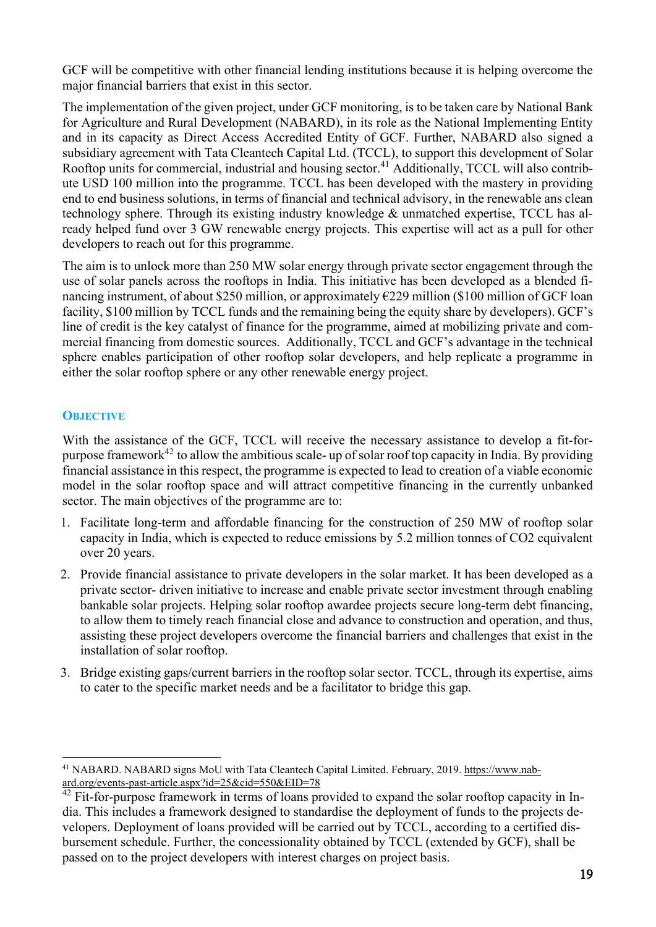GCF will be competitive with other financial lending institutions because it is helping overcome the major financial barriers that exist in this sector.

The implementation of the given project, under GCF monitoring, is to be taken care by National Bank for Agriculture and Rural Development (NABARD), in its role as the National Implementing Entity and in its capacity as Direct Access Accredited Entity of GCF. Further, NABARD also signed a subsidiary agreement with Tata Cleantech Capital Ltd. (TCCL), to support this development of Solar Rooftop units for commercial, industrial and housing sector.<sup>41</sup> Additionally, TCCL will also contribute USD 100 million into the programme. TCCL has been developed with the mastery in providing end to end business solutions, in terms of financial and technical advisory, in the renewable ans clean technology sphere. Through its existing industry knowledge & unmatched expertise, TCCL has already helped fund over 3 GW renewable energy projects. This expertise will act as a pull for other developers to reach out for this programme.

The aim is to unlock more than 250 MW solar energy through private sector engagement through the use of solar panels across the rooftops in India. This initiative has been developed as a blended financing instrument, of about \$250 million, or approximately  $\epsilon$ 229 million (\$100 million of GCF loan facility, \$100 million by TCCL funds and the remaining being the equity share by developers). GCF's line of credit is the key catalyst of finance for the programme, aimed at mobilizing private and commercial financing from domestic sources. Additionally, TCCL and GCF's advantage in the technical sphere enables participation of other rooftop solar developers, and help replicate a programme in either the solar rooftop sphere or any other renewable energy project.

### **OBJECTIVE**

With the assistance of the GCF, TCCL will receive the necessary assistance to develop a fit-forpurpose framework<sup>42</sup> to allow the ambitious scale- up of solar roof top capacity in India. By providing financial assistance in this respect, the programme is expected to lead to creation of a viable economic model in the solar rooftop space and will attract competitive financing in the currently unbanked sector. The main objectives of the programme are to:

- 1. Facilitate long-term and affordable financing for the construction of 250 MW of rooftop solar capacity in India, which is expected to reduce emissions by 5.2 million tonnes of CO2 equivalent over 20 years.
- 2. Provide financial assistance to private developers in the solar market. It has been developed as a private sector- driven initiative to increase and enable private sector investment through enabling bankable solar projects. Helping solar rooftop awardee projects secure long-term debt financing, to allow them to timely reach financial close and advance to construction and operation, and thus, assisting these project developers overcome the financial barriers and challenges that exist in the installation of solar rooftop.
- 3. Bridge existing gaps/current barriers in the rooftop solar sector. TCCL, through its expertise, aims to cater to the specific market needs and be a facilitator to bridge this gap.

<sup>41</sup> NABARD. NABARD signs MoU with Tata Cleantech Capital Limited. February, 2019. https://www.nabard.org/events-past-article.aspx?id=25&cid=550&EID=78

 $42$  Fit-for-purpose framework in terms of loans provided to expand the solar rooftop capacity in India. This includes a framework designed to standardise the deployment of funds to the projects developers. Deployment of loans provided will be carried out by TCCL, according to a certified disbursement schedule. Further, the concessionality obtained by TCCL (extended by GCF), shall be passed on to the project developers with interest charges on project basis.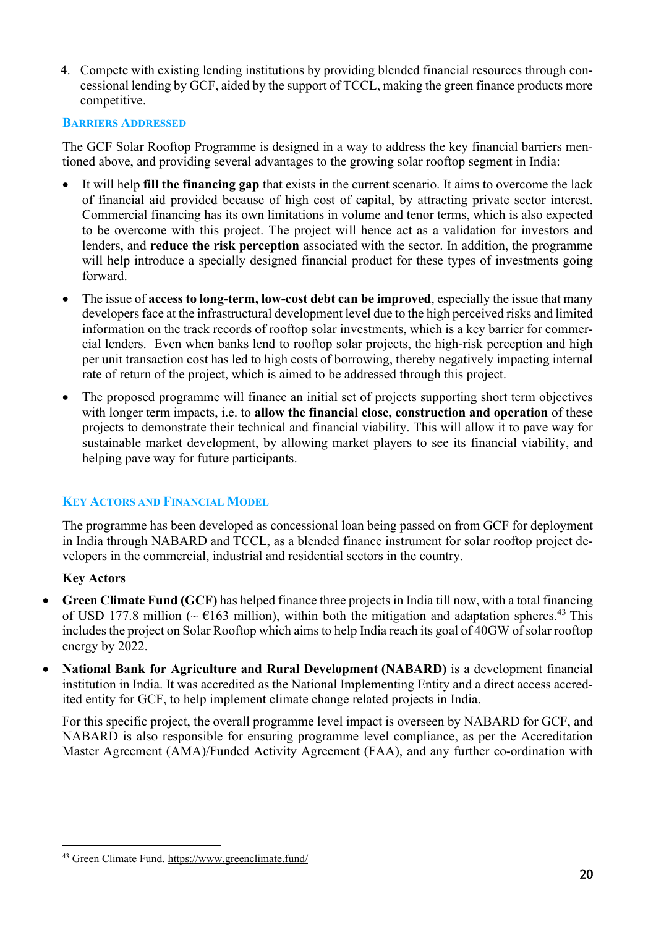4. Compete with existing lending institutions by providing blended financial resources through concessional lending by GCF, aided by the support of TCCL, making the green finance products more competitive.

#### BARRIERS ADDRESSED

The GCF Solar Rooftop Programme is designed in a way to address the key financial barriers mentioned above, and providing several advantages to the growing solar rooftop segment in India:

- It will help fill the financing gap that exists in the current scenario. It aims to overcome the lack of financial aid provided because of high cost of capital, by attracting private sector interest. Commercial financing has its own limitations in volume and tenor terms, which is also expected to be overcome with this project. The project will hence act as a validation for investors and lenders, and reduce the risk perception associated with the sector. In addition, the programme will help introduce a specially designed financial product for these types of investments going forward.
- The issue of access to long-term, low-cost debt can be improved, especially the issue that many developers face at the infrastructural development level due to the high perceived risks and limited information on the track records of rooftop solar investments, which is a key barrier for commercial lenders. Even when banks lend to rooftop solar projects, the high-risk perception and high per unit transaction cost has led to high costs of borrowing, thereby negatively impacting internal rate of return of the project, which is aimed to be addressed through this project.
- The proposed programme will finance an initial set of projects supporting short term objectives with longer term impacts, i.e. to allow the financial close, construction and operation of these projects to demonstrate their technical and financial viability. This will allow it to pave way for sustainable market development, by allowing market players to see its financial viability, and helping pave way for future participants.

### KEY ACTORS AND FINANCIAL MODEL

The programme has been developed as concessional loan being passed on from GCF for deployment in India through NABARD and TCCL, as a blended finance instrument for solar rooftop project developers in the commercial, industrial and residential sectors in the country.

### Key Actors

- Green Climate Fund (GCF) has helped finance three projects in India till now, with a total financing of USD 177.8 million ( $\sim \pm 163$  million), within both the mitigation and adaptation spheres.<sup>43</sup> This includes the project on Solar Rooftop which aims to help India reach its goal of 40GW of solar rooftop energy by 2022.
- National Bank for Agriculture and Rural Development (NABARD) is a development financial institution in India. It was accredited as the National Implementing Entity and a direct access accredited entity for GCF, to help implement climate change related projects in India.

For this specific project, the overall programme level impact is overseen by NABARD for GCF, and NABARD is also responsible for ensuring programme level compliance, as per the Accreditation Master Agreement (AMA)/Funded Activity Agreement (FAA), and any further co-ordination with

<sup>43</sup> Green Climate Fund. https://www.greenclimate.fund/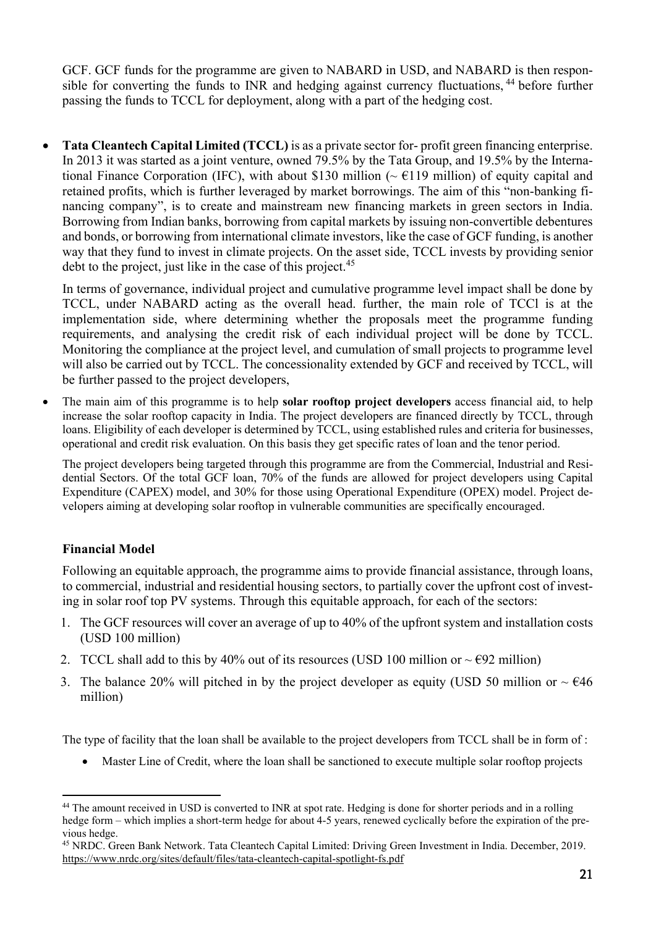GCF. GCF funds for the programme are given to NABARD in USD, and NABARD is then responsible for converting the funds to INR and hedging against currency fluctuations, <sup>44</sup> before further passing the funds to TCCL for deployment, along with a part of the hedging cost.

 Tata Cleantech Capital Limited (TCCL) is as a private sector for- profit green financing enterprise. In 2013 it was started as a joint venture, owned 79.5% by the Tata Group, and 19.5% by the International Finance Corporation (IFC), with about \$130 million ( $\sim \text{\textsterling}119$  million) of equity capital and retained profits, which is further leveraged by market borrowings. The aim of this "non-banking financing company", is to create and mainstream new financing markets in green sectors in India. Borrowing from Indian banks, borrowing from capital markets by issuing non-convertible debentures and bonds, or borrowing from international climate investors, like the case of GCF funding, is another way that they fund to invest in climate projects. On the asset side, TCCL invests by providing senior debt to the project, just like in the case of this project.<sup>45</sup>

In terms of governance, individual project and cumulative programme level impact shall be done by TCCL, under NABARD acting as the overall head. further, the main role of TCCl is at the implementation side, where determining whether the proposals meet the programme funding requirements, and analysing the credit risk of each individual project will be done by TCCL. Monitoring the compliance at the project level, and cumulation of small projects to programme level will also be carried out by TCCL. The concessionality extended by GCF and received by TCCL, will be further passed to the project developers,

 The main aim of this programme is to help solar rooftop project developers access financial aid, to help increase the solar rooftop capacity in India. The project developers are financed directly by TCCL, through loans. Eligibility of each developer is determined by TCCL, using established rules and criteria for businesses, operational and credit risk evaluation. On this basis they get specific rates of loan and the tenor period.

The project developers being targeted through this programme are from the Commercial, Industrial and Residential Sectors. Of the total GCF loan, 70% of the funds are allowed for project developers using Capital Expenditure (CAPEX) model, and 30% for those using Operational Expenditure (OPEX) model. Project developers aiming at developing solar rooftop in vulnerable communities are specifically encouraged.

### Financial Model

Following an equitable approach, the programme aims to provide financial assistance, through loans, to commercial, industrial and residential housing sectors, to partially cover the upfront cost of investing in solar roof top PV systems. Through this equitable approach, for each of the sectors:

- 1. The GCF resources will cover an average of up to 40% of the upfront system and installation costs (USD 100 million)
- 2. TCCL shall add to this by 40% out of its resources (USD 100 million or  $\sim \text{\textsterling}92$  million)
- 3. The balance 20% will pitched in by the project developer as equity (USD 50 million or  $\sim \text{\textsterling}46$ ) million)

The type of facility that the loan shall be available to the project developers from TCCL shall be in form of :

Master Line of Credit, where the loan shall be sanctioned to execute multiple solar rooftop projects

<sup>&</sup>lt;sup>44</sup> The amount received in USD is converted to INR at spot rate. Hedging is done for shorter periods and in a rolling hedge form – which implies a short-term hedge for about 4-5 years, renewed cyclically before the expiration of the previous hedge.

<sup>45</sup> NRDC. Green Bank Network. Tata Cleantech Capital Limited: Driving Green Investment in India. December, 2019. https://www.nrdc.org/sites/default/files/tata-cleantech-capital-spotlight-fs.pdf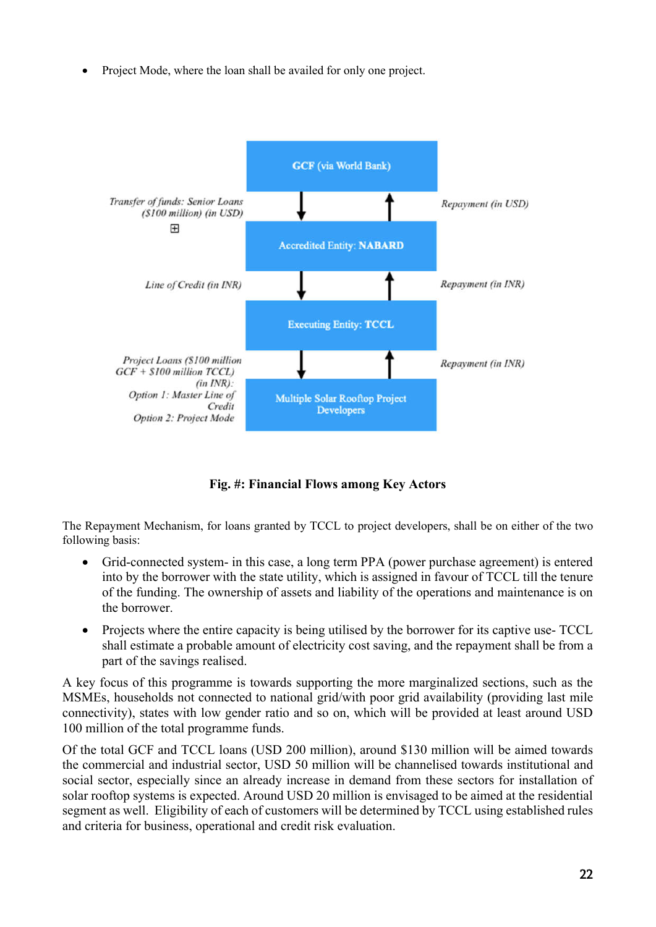Project Mode, where the loan shall be availed for only one project.



Fig. #: Financial Flows among Key Actors

The Repayment Mechanism, for loans granted by TCCL to project developers, shall be on either of the two following basis:

- Grid-connected system- in this case, a long term PPA (power purchase agreement) is entered into by the borrower with the state utility, which is assigned in favour of TCCL till the tenure of the funding. The ownership of assets and liability of the operations and maintenance is on the borrower.
- Projects where the entire capacity is being utilised by the borrower for its captive use- TCCL shall estimate a probable amount of electricity cost saving, and the repayment shall be from a part of the savings realised.

A key focus of this programme is towards supporting the more marginalized sections, such as the MSMEs, households not connected to national grid/with poor grid availability (providing last mile connectivity), states with low gender ratio and so on, which will be provided at least around USD 100 million of the total programme funds.

Of the total GCF and TCCL loans (USD 200 million), around \$130 million will be aimed towards the commercial and industrial sector, USD 50 million will be channelised towards institutional and social sector, especially since an already increase in demand from these sectors for installation of solar rooftop systems is expected. Around USD 20 million is envisaged to be aimed at the residential segment as well. Eligibility of each of customers will be determined by TCCL using established rules and criteria for business, operational and credit risk evaluation.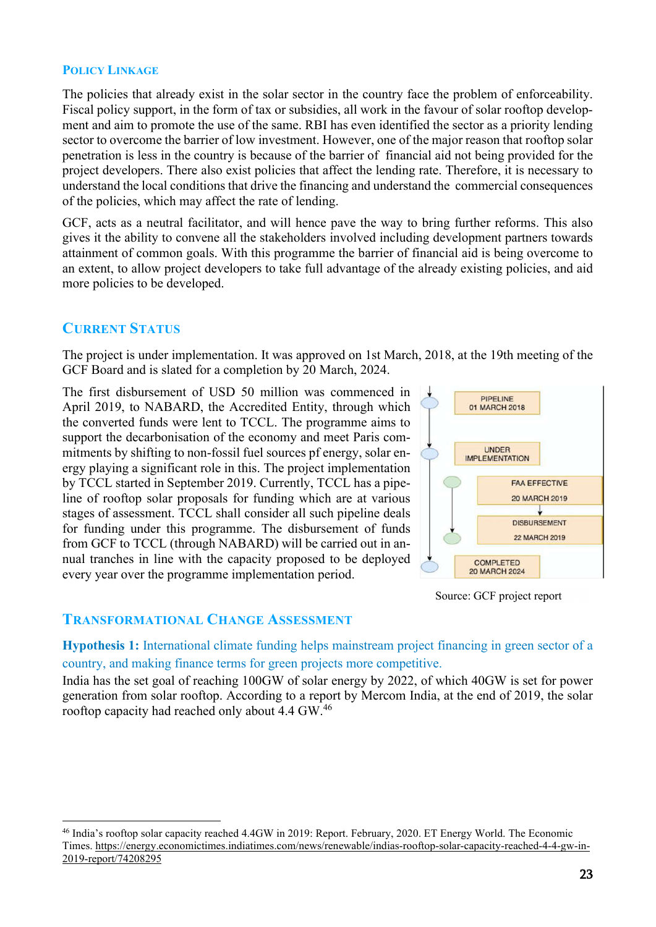### POLICY LINKAGE

The policies that already exist in the solar sector in the country face the problem of enforceability. Fiscal policy support, in the form of tax or subsidies, all work in the favour of solar rooftop development and aim to promote the use of the same. RBI has even identified the sector as a priority lending sector to overcome the barrier of low investment. However, one of the major reason that rooftop solar penetration is less in the country is because of the barrier of financial aid not being provided for the project developers. There also exist policies that affect the lending rate. Therefore, it is necessary to understand the local conditions that drive the financing and understand the commercial consequences of the policies, which may affect the rate of lending.

GCF, acts as a neutral facilitator, and will hence pave the way to bring further reforms. This also gives it the ability to convene all the stakeholders involved including development partners towards attainment of common goals. With this programme the barrier of financial aid is being overcome to an extent, to allow project developers to take full advantage of the already existing policies, and aid more policies to be developed.

## CURRENT STATUS

The project is under implementation. It was approved on 1st March, 2018, at the 19th meeting of the GCF Board and is slated for a completion by 20 March, 2024.

The first disbursement of USD 50 million was commenced in April 2019, to NABARD, the Accredited Entity, through which the converted funds were lent to TCCL. The programme aims to support the decarbonisation of the economy and meet Paris commitments by shifting to non-fossil fuel sources pf energy, solar energy playing a significant role in this. The project implementation by TCCL started in September 2019. Currently, TCCL has a pipeline of rooftop solar proposals for funding which are at various stages of assessment. TCCL shall consider all such pipeline deals for funding under this programme. The disbursement of funds from GCF to TCCL (through NABARD) will be carried out in annual tranches in line with the capacity proposed to be deployed every year over the programme implementation period.



Source: GCF project report

### TRANSFORMATIONAL CHANGE ASSESSMENT

Hypothesis 1: International climate funding helps mainstream project financing in green sector of a country, and making finance terms for green projects more competitive.

India has the set goal of reaching 100GW of solar energy by 2022, of which 40GW is set for power generation from solar rooftop. According to a report by Mercom India, at the end of 2019, the solar rooftop capacity had reached only about 4.4 GW.<sup>46</sup>

<sup>46</sup> India's rooftop solar capacity reached 4.4GW in 2019: Report. February, 2020. ET Energy World. The Economic Times. https://energy.economictimes.indiatimes.com/news/renewable/indias-rooftop-solar-capacity-reached-4-4-gw-in-2019-report/74208295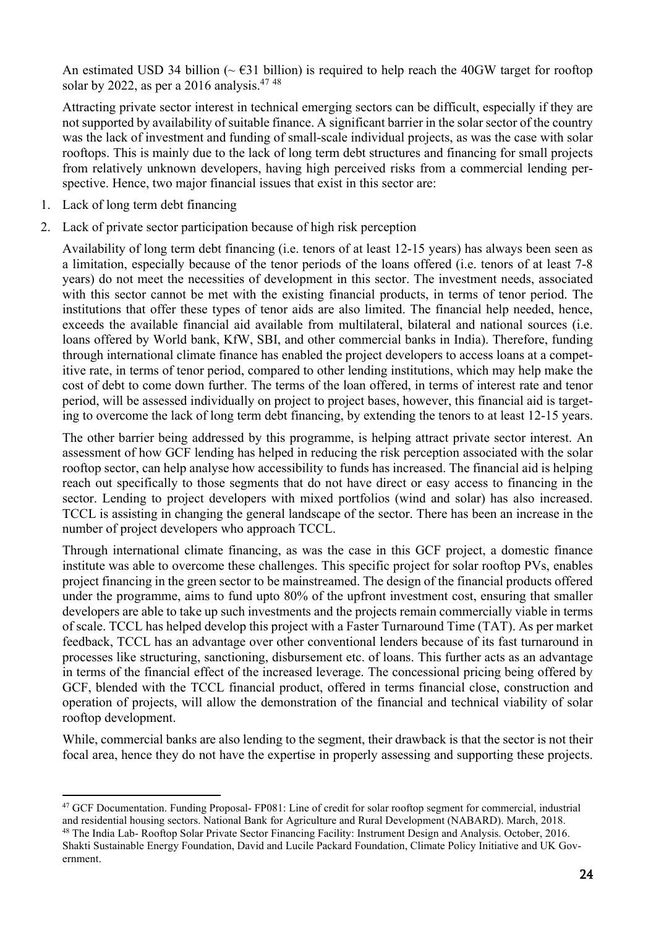An estimated USD 34 billion ( $\sim$   $631$  billion) is required to help reach the 40GW target for rooftop solar by 2022, as per a 2016 analysis.<sup>47 48</sup>

Attracting private sector interest in technical emerging sectors can be difficult, especially if they are not supported by availability of suitable finance. A significant barrier in the solar sector of the country was the lack of investment and funding of small-scale individual projects, as was the case with solar rooftops. This is mainly due to the lack of long term debt structures and financing for small projects from relatively unknown developers, having high perceived risks from a commercial lending perspective. Hence, two major financial issues that exist in this sector are:

- 1. Lack of long term debt financing
- 2. Lack of private sector participation because of high risk perception

Availability of long term debt financing (i.e. tenors of at least 12-15 years) has always been seen as a limitation, especially because of the tenor periods of the loans offered (i.e. tenors of at least 7-8 years) do not meet the necessities of development in this sector. The investment needs, associated with this sector cannot be met with the existing financial products, in terms of tenor period. The institutions that offer these types of tenor aids are also limited. The financial help needed, hence, exceeds the available financial aid available from multilateral, bilateral and national sources (i.e. loans offered by World bank, KfW, SBI, and other commercial banks in India). Therefore, funding through international climate finance has enabled the project developers to access loans at a competitive rate, in terms of tenor period, compared to other lending institutions, which may help make the cost of debt to come down further. The terms of the loan offered, in terms of interest rate and tenor period, will be assessed individually on project to project bases, however, this financial aid is targeting to overcome the lack of long term debt financing, by extending the tenors to at least 12-15 years.

The other barrier being addressed by this programme, is helping attract private sector interest. An assessment of how GCF lending has helped in reducing the risk perception associated with the solar rooftop sector, can help analyse how accessibility to funds has increased. The financial aid is helping reach out specifically to those segments that do not have direct or easy access to financing in the sector. Lending to project developers with mixed portfolios (wind and solar) has also increased. TCCL is assisting in changing the general landscape of the sector. There has been an increase in the number of project developers who approach TCCL.

Through international climate financing, as was the case in this GCF project, a domestic finance institute was able to overcome these challenges. This specific project for solar rooftop PVs, enables project financing in the green sector to be mainstreamed. The design of the financial products offered under the programme, aims to fund upto 80% of the upfront investment cost, ensuring that smaller developers are able to take up such investments and the projects remain commercially viable in terms of scale. TCCL has helped develop this project with a Faster Turnaround Time (TAT). As per market feedback, TCCL has an advantage over other conventional lenders because of its fast turnaround in processes like structuring, sanctioning, disbursement etc. of loans. This further acts as an advantage in terms of the financial effect of the increased leverage. The concessional pricing being offered by GCF, blended with the TCCL financial product, offered in terms financial close, construction and operation of projects, will allow the demonstration of the financial and technical viability of solar rooftop development.

While, commercial banks are also lending to the segment, their drawback is that the sector is not their focal area, hence they do not have the expertise in properly assessing and supporting these projects.

<sup>47</sup> GCF Documentation. Funding Proposal- FP081: Line of credit for solar rooftop segment for commercial, industrial and residential housing sectors. National Bank for Agriculture and Rural Development (NABARD). March, 2018.

<sup>48</sup> The India Lab- Rooftop Solar Private Sector Financing Facility: Instrument Design and Analysis. October, 2016. Shakti Sustainable Energy Foundation, David and Lucile Packard Foundation, Climate Policy Initiative and UK Government.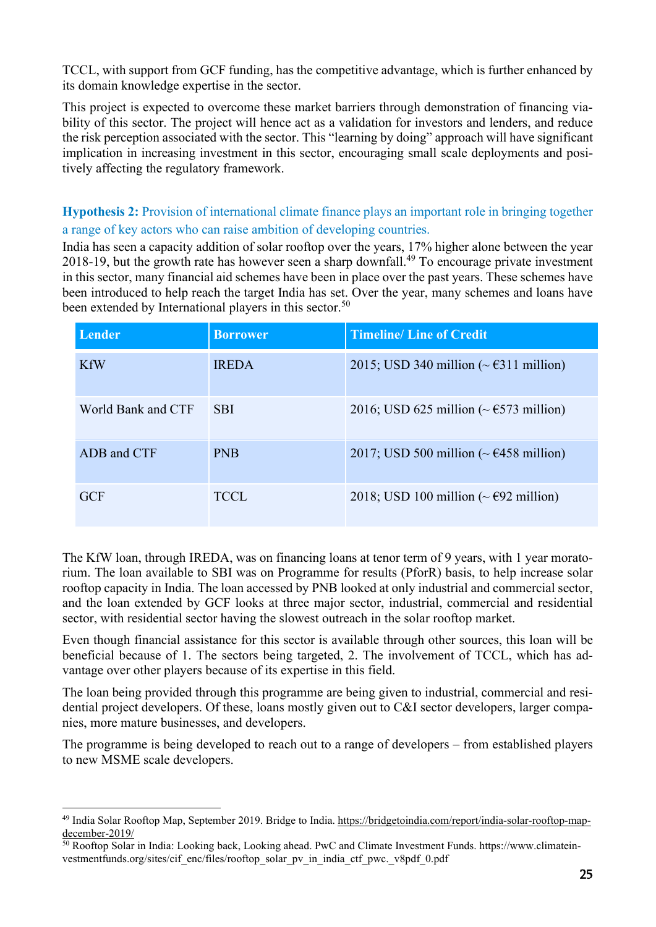TCCL, with support from GCF funding, has the competitive advantage, which is further enhanced by its domain knowledge expertise in the sector.

This project is expected to overcome these market barriers through demonstration of financing viability of this sector. The project will hence act as a validation for investors and lenders, and reduce the risk perception associated with the sector. This "learning by doing" approach will have significant implication in increasing investment in this sector, encouraging small scale deployments and positively affecting the regulatory framework.

Hypothesis 2: Provision of international climate finance plays an important role in bringing together a range of key actors who can raise ambition of developing countries.

India has seen a capacity addition of solar rooftop over the years, 17% higher alone between the year 2018-19, but the growth rate has however seen a sharp downfall.<sup>49</sup> To encourage private investment in this sector, many financial aid schemes have been in place over the past years. These schemes have been introduced to help reach the target India has set. Over the year, many schemes and loans have been extended by International players in this sector.<sup>50</sup>

| Lender             | <b>Borrower</b> | <b>Timeline/Line of Credit</b>                                  |
|--------------------|-----------------|-----------------------------------------------------------------|
| <b>KfW</b>         | <b>IREDA</b>    | 2015; USD 340 million ( $\sim \text{\textsterling}311$ million) |
| World Bank and CTF | <b>SBI</b>      | 2016; USD 625 million ( $\sim \text{\textsterling}573$ million) |
| ADB and CTF        | <b>PNB</b>      | 2017; USD 500 million ( $\sim \text{\textsterling}458$ million) |
| GCF                | <b>TCCL</b>     | 2018; USD 100 million ( $\sim$ €92 million)                     |

The KfW loan, through IREDA, was on financing loans at tenor term of 9 years, with 1 year moratorium. The loan available to SBI was on Programme for results (PforR) basis, to help increase solar rooftop capacity in India. The loan accessed by PNB looked at only industrial and commercial sector, and the loan extended by GCF looks at three major sector, industrial, commercial and residential sector, with residential sector having the slowest outreach in the solar rooftop market.

Even though financial assistance for this sector is available through other sources, this loan will be beneficial because of 1. The sectors being targeted, 2. The involvement of TCCL, which has advantage over other players because of its expertise in this field.

The loan being provided through this programme are being given to industrial, commercial and residential project developers. Of these, loans mostly given out to C&I sector developers, larger companies, more mature businesses, and developers.

The programme is being developed to reach out to a range of developers – from established players to new MSME scale developers.

<sup>&</sup>lt;sup>49</sup> India Solar Rooftop Map, September 2019. Bridge to India. https://bridgetoindia.com/report/india-solar-rooftop-mapdecember-2019/

<sup>50</sup> Rooftop Solar in India: Looking back, Looking ahead. PwC and Climate Investment Funds. https://www.climateinvestmentfunds.org/sites/cif\_enc/files/rooftop\_solar\_pv\_in\_india\_ctf\_pwc.\_v8pdf\_0.pdf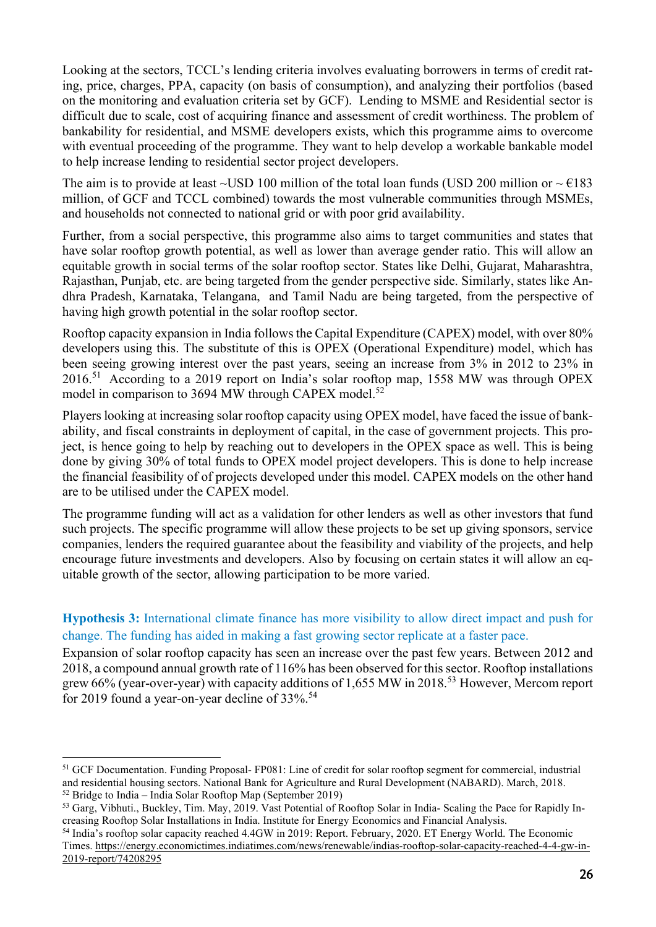Looking at the sectors, TCCL's lending criteria involves evaluating borrowers in terms of credit rating, price, charges, PPA, capacity (on basis of consumption), and analyzing their portfolios (based on the monitoring and evaluation criteria set by GCF). Lending to MSME and Residential sector is difficult due to scale, cost of acquiring finance and assessment of credit worthiness. The problem of bankability for residential, and MSME developers exists, which this programme aims to overcome with eventual proceeding of the programme. They want to help develop a workable bankable model to help increase lending to residential sector project developers.

The aim is to provide at least ~USD 100 million of the total loan funds (USD 200 million or  $\sim \text{\textsterling}183$ ) million, of GCF and TCCL combined) towards the most vulnerable communities through MSMEs, and households not connected to national grid or with poor grid availability.

Further, from a social perspective, this programme also aims to target communities and states that have solar rooftop growth potential, as well as lower than average gender ratio. This will allow an equitable growth in social terms of the solar rooftop sector. States like Delhi, Gujarat, Maharashtra, Rajasthan, Punjab, etc. are being targeted from the gender perspective side. Similarly, states like Andhra Pradesh, Karnataka, Telangana, and Tamil Nadu are being targeted, from the perspective of having high growth potential in the solar rooftop sector.

Rooftop capacity expansion in India follows the Capital Expenditure (CAPEX) model, with over 80% developers using this. The substitute of this is OPEX (Operational Expenditure) model, which has been seeing growing interest over the past years, seeing an increase from 3% in 2012 to 23% in 2016.51 According to a 2019 report on India's solar rooftop map, 1558 MW was through OPEX model in comparison to 3694 MW through CAPEX model.<sup>52</sup>

Players looking at increasing solar rooftop capacity using OPEX model, have faced the issue of bankability, and fiscal constraints in deployment of capital, in the case of government projects. This project, is hence going to help by reaching out to developers in the OPEX space as well. This is being done by giving 30% of total funds to OPEX model project developers. This is done to help increase the financial feasibility of of projects developed under this model. CAPEX models on the other hand are to be utilised under the CAPEX model.

The programme funding will act as a validation for other lenders as well as other investors that fund such projects. The specific programme will allow these projects to be set up giving sponsors, service companies, lenders the required guarantee about the feasibility and viability of the projects, and help encourage future investments and developers. Also by focusing on certain states it will allow an equitable growth of the sector, allowing participation to be more varied.

## Hypothesis 3: International climate finance has more visibility to allow direct impact and push for change. The funding has aided in making a fast growing sector replicate at a faster pace.

Expansion of solar rooftop capacity has seen an increase over the past few years. Between 2012 and 2018, a compound annual growth rate of 116% has been observed for this sector. Rooftop installations grew 66% (year-over-year) with capacity additions of 1,655 MW in 2018.<sup>53</sup> However, Mercom report for 2019 found a year-on-year decline of 33%.<sup>54</sup>

<sup>51</sup> GCF Documentation. Funding Proposal- FP081: Line of credit for solar rooftop segment for commercial, industrial and residential housing sectors. National Bank for Agriculture and Rural Development (NABARD). March, 2018.  $52$  Bridge to India – India Solar Rooftop Map (September 2019)

<sup>53</sup> Garg, Vibhuti., Buckley, Tim. May, 2019. Vast Potential of Rooftop Solar in India- Scaling the Pace for Rapidly Increasing Rooftop Solar Installations in India. Institute for Energy Economics and Financial Analysis.

<sup>54</sup> India's rooftop solar capacity reached 4.4GW in 2019: Report. February, 2020. ET Energy World. The Economic Times. https://energy.economictimes.indiatimes.com/news/renewable/indias-rooftop-solar-capacity-reached-4-4-gw-in-2019-report/74208295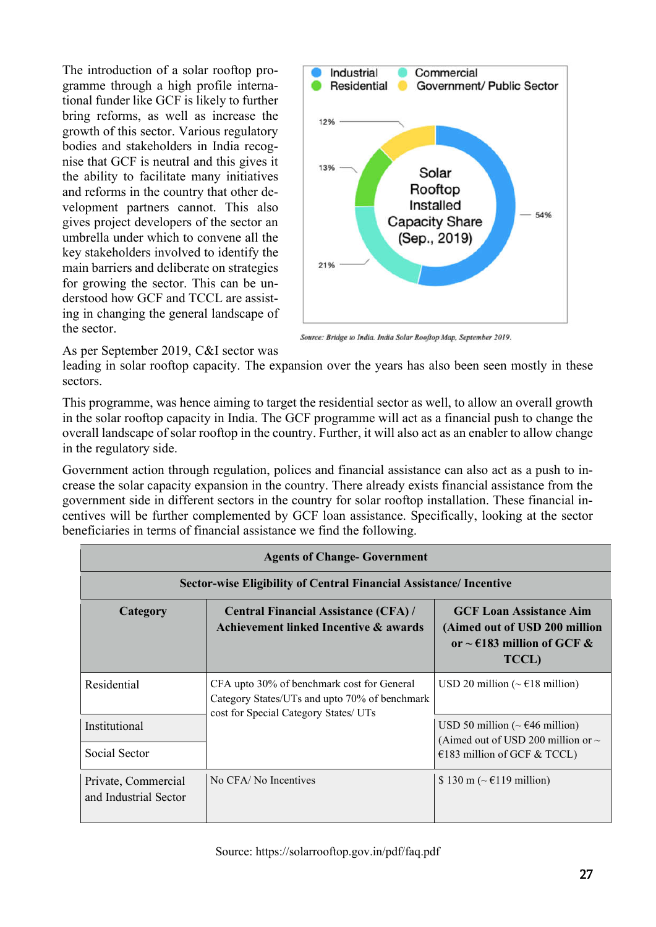The introduction of a solar rooftop programme through a high profile international funder like GCF is likely to further bring reforms, as well as increase the growth of this sector. Various regulatory bodies and stakeholders in India recognise that GCF is neutral and this gives it the ability to facilitate many initiatives and reforms in the country that other development partners cannot. This also gives project developers of the sector an umbrella under which to convene all the key stakeholders involved to identify the main barriers and deliberate on strategies for growing the sector. This can be understood how GCF and TCCL are assisting in changing the general landscape of the sector.



Source: Bridge to India. India Solar Rooftop Map, September 2019.

As per September 2019, C&I sector was

leading in solar rooftop capacity. The expansion over the years has also been seen mostly in these sectors.

This programme, was hence aiming to target the residential sector as well, to allow an overall growth in the solar rooftop capacity in India. The GCF programme will act as a financial push to change the overall landscape of solar rooftop in the country. Further, it will also act as an enabler to allow change in the regulatory side.

Government action through regulation, polices and financial assistance can also act as a push to increase the solar capacity expansion in the country. There already exists financial assistance from the government side in different sectors in the country for solar rooftop installation. These financial incentives will be further complemented by GCF loan assistance. Specifically, looking at the sector beneficiaries in terms of financial assistance we find the following.

| <b>Agents of Change-Government</b>                                        |                                                                                                                                      |                                                                                                                                             |
|---------------------------------------------------------------------------|--------------------------------------------------------------------------------------------------------------------------------------|---------------------------------------------------------------------------------------------------------------------------------------------|
| <b>Sector-wise Eligibility of Central Financial Assistance/ Incentive</b> |                                                                                                                                      |                                                                                                                                             |
| Category                                                                  | <b>Central Financial Assistance (CFA) /</b><br>Achievement linked Incentive & awards                                                 | <b>GCF Loan Assistance Aim</b><br>(Aimed out of USD 200 million<br>or $\sim$ €183 million of GCF &<br><b>TCCL</b> )                         |
| Residential                                                               | CFA upto 30% of benchmark cost for General<br>Category States/UTs and upto 70% of benchmark<br>cost for Special Category States/ UTs | USD 20 million ( $\sim \text{\textsterling}18$ million)                                                                                     |
| Institutional<br>Social Sector                                            |                                                                                                                                      | USD 50 million ( $\sim \text{\textsterling}46$ million)<br>(Aimed out of USD 200 million or $\sim$<br>$\epsilon$ 183 million of GCF & TCCL) |
| Private, Commercial<br>and Industrial Sector                              | No CFA/No Incentives                                                                                                                 | \$130 m ( $\sim \text{\textsterling}119$ million)                                                                                           |